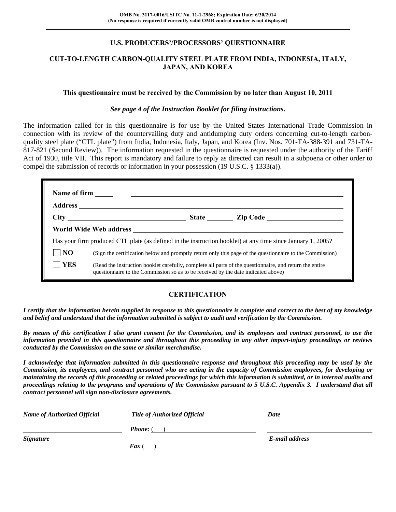## **U.S. PRODUCERS'/PROCESSORS' QUESTIONNAIRE**

## **CUT-TO-LENGTH CARBON-QUALITY STEEL PLATE FROM INDIA, INDONESIA, ITALY, JAPAN, AND KOREA**

#### **This questionnaire must be received by the Commission by no later than August 10, 2011**

#### *See page 4 of the Instruction Booklet for filing instructions.*

The information called for in this questionnaire is for use by the United States International Trade Commission in connection with its review of the countervailing duty and antidumping duty orders concerning cut-to-length carbonquality steel plate ("CTL plate") from India, Indonesia, Italy, Japan, and Korea (Inv. Nos. 701-TA-388-391 and 731-TA-817-821 (Second Review)). The information requested in the questionnaire is requested under the authority of the Tariff Act of 1930, title VII. This report is mandatory and failure to reply as directed can result in a subpoena or other order to compel the submission of records or information in your possession (19 U.S.C. § 1333(a)).

|                | Has your firm produced CTL plate (as defined in the instruction booklet) at any time since January 1, 2005?                                                                                  |
|----------------|----------------------------------------------------------------------------------------------------------------------------------------------------------------------------------------------|
| N <sub>O</sub> | (Sign the certification below and promptly return only this page of the questionnaire to the Commission)                                                                                     |
| <b>YES</b>     | (Read the instruction booklet carefully, complete all parts of the questionnaire, and return the entire<br>questionnaire to the Commission so as to be received by the date indicated above) |

#### **CERTIFICATION**

*I certify that the information herein supplied in response to this questionnaire is complete and correct to the best of my knowledge and belief and understand that the information submitted is subject to audit and verification by the Commission.* 

*By means of this certification I also grant consent for the Commission, and its employees and contract personnel, to use the information provided in this questionnaire and throughout this proceeding in any other import-injury proceedings or reviews conducted by the Commission on the same or similar merchandise.* 

*I acknowledge that information submitted in this questionnaire response and throughout this proceeding may be used by the Commission, its employees, and contract personnel who are acting in the capacity of Commission employees, for developing or maintaining the records of this proceeding or related proceedings for which this information is submitted, or in internal audits and proceedings relating to the programs and operations of the Commission pursuant to 5 U.S.C. Appendix 3. I understand that all contract personnel will sign non-disclosure agreements.* 

| <b>Name of Authorized Official</b> | <b>Title of Authorized Official</b> | Date           |
|------------------------------------|-------------------------------------|----------------|
|                                    | <b>Phone:</b> (                     |                |
| <b>Signature</b>                   |                                     | E-mail address |
|                                    | <b>Fax</b> (                        |                |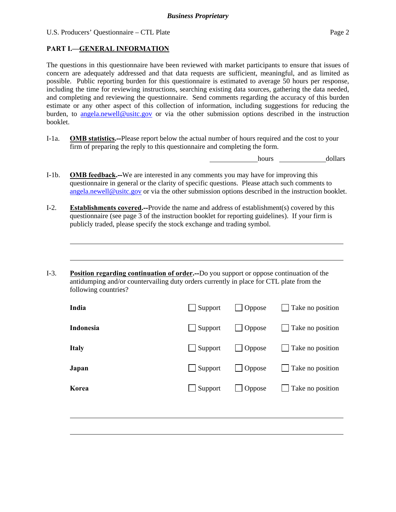## **PART I.—GENERAL INFORMATION**

l

The questions in this questionnaire have been reviewed with market participants to ensure that issues of concern are adequately addressed and that data requests are sufficient, meaningful, and as limited as possible. Public reporting burden for this questionnaire is estimated to average 50 hours per response, including the time for reviewing instructions, searching existing data sources, gathering the data needed, and completing and reviewing the questionnaire. Send comments regarding the accuracy of this burden estimate or any other aspect of this collection of information, including suggestions for reducing the burden, to angela.newell@usitc.gov or via the other submission options described in the instruction booklet.

I-1a. **OMB statistics.--**Please report below the actual number of hours required and the cost to your firm of preparing the reply to this questionnaire and completing the form.

hours dollars

- I-1b. **OMB feedback.--**We are interested in any comments you may have for improving this questionnaire in general or the clarity of specific questions. Please attach such comments to angela.newell@usitc.gov or via the other submission options described in the instruction booklet.
- I-2. **Establishments covered.--**Provide the name and address of establishment(s) covered by this questionnaire (see page 3 of the instruction booklet for reporting guidelines). If your firm is publicly traded, please specify the stock exchange and trading symbol.
- I-3. **Position regarding continuation of order.--**Do you support or oppose continuation of the antidumping and/or countervailing duty orders currently in place for CTL plate from the following countries?

| India        | $\Box$ Support | $\Box$ Oppose | $\Box$ Take no position |
|--------------|----------------|---------------|-------------------------|
| Indonesia    | $\Box$ Support | $\Box$ Oppose | Take no position        |
| <b>Italy</b> | $\Box$ Support | $\Box$ Oppose | Take no position        |
| Japan        | $\Box$ Support | $\Box$ Oppose | Take no position        |
| Korea        | $\Box$ Support | $\Box$ Oppose | Take no position        |
|              |                |               |                         |
|              |                |               |                         |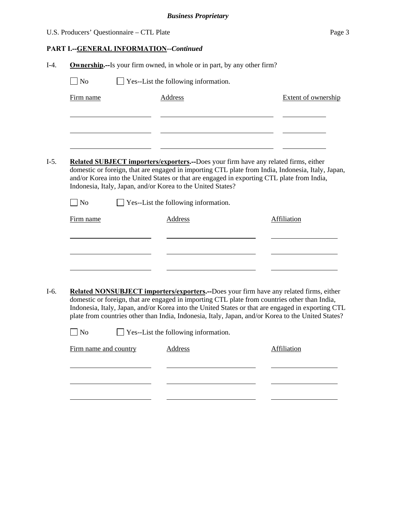|                       |                | Page 3                                                                                                                                                                                                                                                                                                                                                                                                                                                                                                                                                                                                                                                                                                                                                                                                                                                                                                                                                                                                                                                                              |
|-----------------------|----------------|-------------------------------------------------------------------------------------------------------------------------------------------------------------------------------------------------------------------------------------------------------------------------------------------------------------------------------------------------------------------------------------------------------------------------------------------------------------------------------------------------------------------------------------------------------------------------------------------------------------------------------------------------------------------------------------------------------------------------------------------------------------------------------------------------------------------------------------------------------------------------------------------------------------------------------------------------------------------------------------------------------------------------------------------------------------------------------------|
|                       |                |                                                                                                                                                                                                                                                                                                                                                                                                                                                                                                                                                                                                                                                                                                                                                                                                                                                                                                                                                                                                                                                                                     |
|                       |                |                                                                                                                                                                                                                                                                                                                                                                                                                                                                                                                                                                                                                                                                                                                                                                                                                                                                                                                                                                                                                                                                                     |
| $\exists$ No          |                |                                                                                                                                                                                                                                                                                                                                                                                                                                                                                                                                                                                                                                                                                                                                                                                                                                                                                                                                                                                                                                                                                     |
| Firm name             | <b>Address</b> | <b>Extent of ownership</b>                                                                                                                                                                                                                                                                                                                                                                                                                                                                                                                                                                                                                                                                                                                                                                                                                                                                                                                                                                                                                                                          |
|                       |                |                                                                                                                                                                                                                                                                                                                                                                                                                                                                                                                                                                                                                                                                                                                                                                                                                                                                                                                                                                                                                                                                                     |
|                       |                |                                                                                                                                                                                                                                                                                                                                                                                                                                                                                                                                                                                                                                                                                                                                                                                                                                                                                                                                                                                                                                                                                     |
| $\blacksquare$ No     |                |                                                                                                                                                                                                                                                                                                                                                                                                                                                                                                                                                                                                                                                                                                                                                                                                                                                                                                                                                                                                                                                                                     |
| Firm name             | <b>Address</b> | Affiliation                                                                                                                                                                                                                                                                                                                                                                                                                                                                                                                                                                                                                                                                                                                                                                                                                                                                                                                                                                                                                                                                         |
|                       |                |                                                                                                                                                                                                                                                                                                                                                                                                                                                                                                                                                                                                                                                                                                                                                                                                                                                                                                                                                                                                                                                                                     |
|                       |                |                                                                                                                                                                                                                                                                                                                                                                                                                                                                                                                                                                                                                                                                                                                                                                                                                                                                                                                                                                                                                                                                                     |
|                       |                |                                                                                                                                                                                                                                                                                                                                                                                                                                                                                                                                                                                                                                                                                                                                                                                                                                                                                                                                                                                                                                                                                     |
| Firm name and country | <b>Address</b> | <b>Affiliation</b>                                                                                                                                                                                                                                                                                                                                                                                                                                                                                                                                                                                                                                                                                                                                                                                                                                                                                                                                                                                                                                                                  |
|                       | $\Box$ No      | U.S. Producers' Questionnaire - CTL Plate<br>PART I.--GENERAL INFORMATION--Continued<br><b>Ownership.</b> --Is your firm owned, in whole or in part, by any other firm?<br>$\Box$ Yes--List the following information.<br>Related SUBJECT importers/exporters.--Does your firm have any related firms, either<br>domestic or foreign, that are engaged in importing CTL plate from India, Indonesia, Italy, Japan,<br>and/or Korea into the United States or that are engaged in exporting CTL plate from India,<br>Indonesia, Italy, Japan, and/or Korea to the United States?<br>$\Box$ Yes--List the following information.<br>Related NONSUBJECT importers/exporters.--Does your firm have any related firms, either<br>domestic or foreign, that are engaged in importing CTL plate from countries other than India,<br>Indonesia, Italy, Japan, and/or Korea into the United States or that are engaged in exporting CTL<br>plate from countries other than India, Indonesia, Italy, Japan, and/or Korea to the United States?<br>$\Box$ Yes--List the following information. |

l

l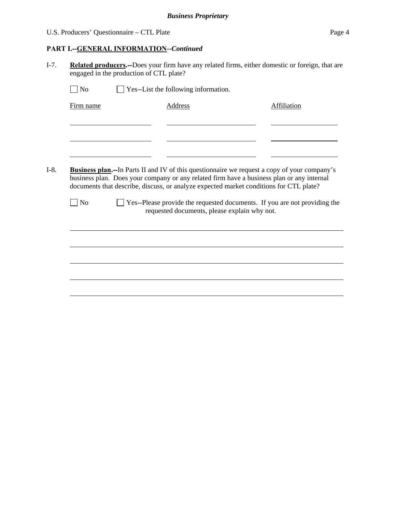## U.S. Producers' Questionnaire – CTL Plate Page 4

## **PART I.--GENERAL INFORMATION***--Continued*

I-7. **Related producers.--**Does your firm have any related firms, either domestic or foreign, that are engaged in the production of CTL plate?

| $\overline{\rm No}$ | <b>Business plan.</b> --In Parts II and IV of this questionnaire we request a copy of your company's<br>business plan. Does your company or any related firm have a business plan or any internal<br>documents that describe, discuss, or analyze expected market conditions for CTL plate?<br>Yes--Please provide the requested documents. If you are not providing the<br>requested documents, please explain why not. | <b>Address</b> | <b>Affiliation</b> |
|---------------------|--------------------------------------------------------------------------------------------------------------------------------------------------------------------------------------------------------------------------------------------------------------------------------------------------------------------------------------------------------------------------------------------------------------------------|----------------|--------------------|
|                     |                                                                                                                                                                                                                                                                                                                                                                                                                          |                |                    |
|                     |                                                                                                                                                                                                                                                                                                                                                                                                                          |                |                    |
|                     |                                                                                                                                                                                                                                                                                                                                                                                                                          |                |                    |
|                     |                                                                                                                                                                                                                                                                                                                                                                                                                          |                |                    |
|                     |                                                                                                                                                                                                                                                                                                                                                                                                                          |                |                    |
|                     |                                                                                                                                                                                                                                                                                                                                                                                                                          |                |                    |
|                     |                                                                                                                                                                                                                                                                                                                                                                                                                          |                |                    |
|                     |                                                                                                                                                                                                                                                                                                                                                                                                                          |                |                    |
|                     |                                                                                                                                                                                                                                                                                                                                                                                                                          |                |                    |
|                     |                                                                                                                                                                                                                                                                                                                                                                                                                          |                |                    |
|                     |                                                                                                                                                                                                                                                                                                                                                                                                                          |                |                    |
|                     |                                                                                                                                                                                                                                                                                                                                                                                                                          |                |                    |
|                     |                                                                                                                                                                                                                                                                                                                                                                                                                          |                |                    |
|                     |                                                                                                                                                                                                                                                                                                                                                                                                                          |                |                    |
|                     |                                                                                                                                                                                                                                                                                                                                                                                                                          |                |                    |
|                     |                                                                                                                                                                                                                                                                                                                                                                                                                          |                |                    |
|                     |                                                                                                                                                                                                                                                                                                                                                                                                                          |                |                    |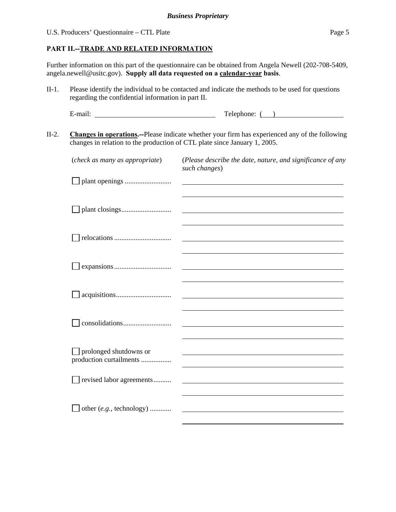#### **PART II.--TRADE AND RELATED INFORMATION**

Further information on this part of the questionnaire can be obtained from Angela Newell (202-708-5409, angela.newell@usitc.gov). **Supply all data requested on a calendar-year basis**.

II-1. Please identify the individual to be contacted and indicate the methods to be used for questions regarding the confidential information in part II.

E-mail: Telephone: ( )

II-2. **Changes in operations.--**Please indicate whether your firm has experienced any of the following changes in relation to the production of CTL plate since January 1, 2005.

| (check as many as appropriate)                    | (Please describe the date, nature, and significance of any<br>such changes) |
|---------------------------------------------------|-----------------------------------------------------------------------------|
|                                                   |                                                                             |
|                                                   |                                                                             |
|                                                   |                                                                             |
|                                                   |                                                                             |
|                                                   |                                                                             |
|                                                   |                                                                             |
| prolonged shutdowns or<br>production curtailments |                                                                             |
| revised labor agreements                          |                                                                             |
| other (e.g., technology)                          |                                                                             |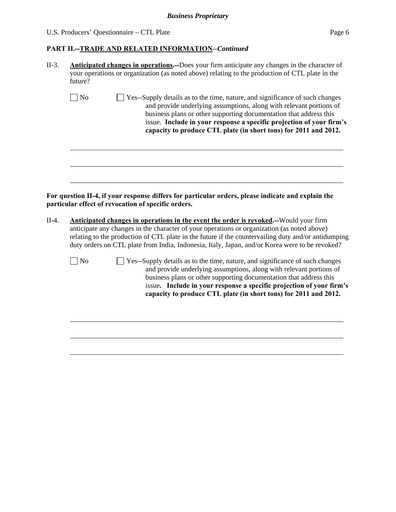## U.S. Producers' Questionnaire – CTL Plate Page 6

# **PART II.--TRADE AND RELATED INFORMATION***--Continued*

| II-3.   | <b>Anticipated changes in operations.</b> —Does your firm anticipate any changes in the character of<br>your operations or organization (as noted above) relating to the production of CTL plate in the<br>future?                                                                                                                                                                 |  |  |  |  |  |  |
|---------|------------------------------------------------------------------------------------------------------------------------------------------------------------------------------------------------------------------------------------------------------------------------------------------------------------------------------------------------------------------------------------|--|--|--|--|--|--|
|         | $\Box$ No<br>Yes--Supply details as to the time, nature, and significance of such changes<br>and provide underlying assumptions, along with relevant portions of<br>business plans or other supporting documentation that address this<br>issue. Include in your response a specific projection of your firm's<br>capacity to produce CTL plate (in short tons) for 2011 and 2012. |  |  |  |  |  |  |
| $II-4.$ | For question II-4, if your response differs for particular orders, please indicate and explain the<br>particular effect of revocation of specific orders.<br><b>Anticipated changes in operations in the event the order is revoked.</b> --Would your firm                                                                                                                         |  |  |  |  |  |  |
|         | anticipate any changes in the character of your operations or organization (as noted above)<br>relating to the production of CTL plate in the future if the countervailing duty and/or antidumping<br>duty orders on CTL plate from India, Indonesia, Italy, Japan, and/or Korea were to be revoked?                                                                               |  |  |  |  |  |  |
|         | $\Box$ No<br>Yes--Supply details as to the time, nature, and significance of such changes<br>and provide underlying assumptions, along with relevant portions of<br>business plans or other supporting documentation that address this<br>issue. Include in your response a specific projection of your firm's<br>capacity to produce CTL plate (in short tons) for 2011 and 2012. |  |  |  |  |  |  |
|         |                                                                                                                                                                                                                                                                                                                                                                                    |  |  |  |  |  |  |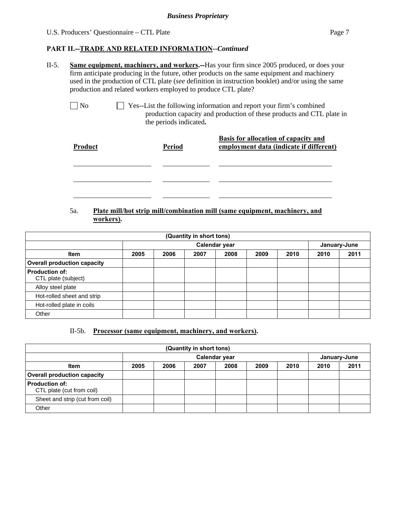#### **PART II.--TRADE AND RELATED INFORMATION***--Continued*

II-5. **Same equipment, machinery, and workers.--**Has your firm since 2005 produced, or does your firm anticipate producing in the future, other products on the same equipment and machinery used in the production of CTL plate (*see* definition in instruction booklet) and/or using the same production and related workers employed to produce CTL plate?

 No Yes--List the following information and report your firm's combined production capacity and production of these products and CTL plate in the periods indicated**.**

| Product | <b>Period</b> | <b>Basis for allocation of capacity and</b><br>employment data (indicate if different) |
|---------|---------------|----------------------------------------------------------------------------------------|
|         |               |                                                                                        |
|         |               |                                                                                        |
|         |               |                                                                                        |

### 5a. **Plate mill/hot strip mill/combination mill (same equipment, machinery, and workers).**

| (Quantity in short tons)                     |      |      |      |               |      |      |      |              |
|----------------------------------------------|------|------|------|---------------|------|------|------|--------------|
|                                              |      |      |      | Calendar year |      |      |      | January-June |
| <b>Item</b>                                  | 2005 | 2006 | 2007 | 2008          | 2009 | 2010 | 2010 | 2011         |
| <b>Overall production capacity</b>           |      |      |      |               |      |      |      |              |
| <b>Production of:</b><br>CTL plate (subject) |      |      |      |               |      |      |      |              |
| Alloy steel plate                            |      |      |      |               |      |      |      |              |
| Hot-rolled sheet and strip                   |      |      |      |               |      |      |      |              |
| Hot-rolled plate in coils                    |      |      |      |               |      |      |      |              |
| Other                                        |      |      |      |               |      |      |      |              |

#### II-5b. **Processor (same equipment, machinery, and workers).**

| (Quantity in short tons)                           |                               |      |      |      |      |      |      |      |
|----------------------------------------------------|-------------------------------|------|------|------|------|------|------|------|
|                                                    | Calendar year<br>January-June |      |      |      |      |      |      |      |
| <b>Item</b>                                        | 2005                          | 2006 | 2007 | 2008 | 2009 | 2010 | 2010 | 2011 |
| <b>Overall production capacity</b>                 |                               |      |      |      |      |      |      |      |
| <b>Production of:</b><br>CTL plate (cut from coil) |                               |      |      |      |      |      |      |      |
| Sheet and strip (cut from coil)                    |                               |      |      |      |      |      |      |      |
| Other                                              |                               |      |      |      |      |      |      |      |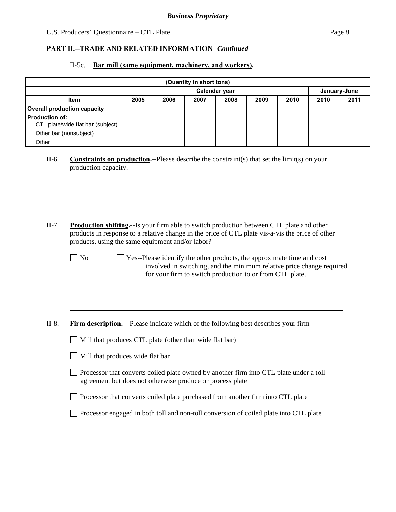## U.S. Producers' Questionnaire – CTL Plate Page 8

## **PART II.--TRADE AND RELATED INFORMATION***--Continued*

## II-5c. **Bar mill (same equipment, machinery, and workers).**

|                       |                                                                                                                                                                                                                                                                                    |      |      | (Quantity in short tons) |                                                                                                                                                                                                             |      |      |      |              |
|-----------------------|------------------------------------------------------------------------------------------------------------------------------------------------------------------------------------------------------------------------------------------------------------------------------------|------|------|--------------------------|-------------------------------------------------------------------------------------------------------------------------------------------------------------------------------------------------------------|------|------|------|--------------|
|                       |                                                                                                                                                                                                                                                                                    |      |      |                          | Calendar year                                                                                                                                                                                               |      |      |      | January-June |
|                       | Item                                                                                                                                                                                                                                                                               | 2005 | 2006 | 2007                     | 2008                                                                                                                                                                                                        | 2009 | 2010 | 2010 | 2011         |
|                       | <b>Overall production capacity</b>                                                                                                                                                                                                                                                 |      |      |                          |                                                                                                                                                                                                             |      |      |      |              |
| <b>Production of:</b> | CTL plate/wide flat bar (subject)                                                                                                                                                                                                                                                  |      |      |                          |                                                                                                                                                                                                             |      |      |      |              |
|                       | Other bar (nonsubject)                                                                                                                                                                                                                                                             |      |      |                          |                                                                                                                                                                                                             |      |      |      |              |
| Other                 |                                                                                                                                                                                                                                                                                    |      |      |                          |                                                                                                                                                                                                             |      |      |      |              |
| II-6.                 | <b>Constraints on production.</b> --Please describe the constraint(s) that set the limit(s) on your<br>production capacity.                                                                                                                                                        |      |      |                          |                                                                                                                                                                                                             |      |      |      |              |
| $II-7.$               | <b>Production shifting.</b> —Is your firm able to switch production between CTL plate and other<br>products in response to a relative change in the price of CTL plate vis-a-vis the price of other<br>products, using the same equipment and/or labor?<br>$\blacksquare$ No       |      |      |                          | Yes--Please identify the other products, the approximate time and cost<br>involved in switching, and the minimum relative price change required<br>for your firm to switch production to or from CTL plate. |      |      |      |              |
| $II-8.$               | <b>Firm description.</b> —Please indicate which of the following best describes your firm<br>Mill that produces CTL plate (other than wide flat bar)<br>Mill that produces wide flat bar<br>Processor that converts coiled plate owned by another firm into CTL plate under a toll |      |      |                          |                                                                                                                                                                                                             |      |      |      |              |
|                       | agreement but does not otherwise produce or process plate<br>Processor that converts coiled plate purchased from another firm into CTL plate                                                                                                                                       |      |      |                          |                                                                                                                                                                                                             |      |      |      |              |
|                       | Processor engaged in both toll and non-toll conversion of coiled plate into CTL plate                                                                                                                                                                                              |      |      |                          |                                                                                                                                                                                                             |      |      |      |              |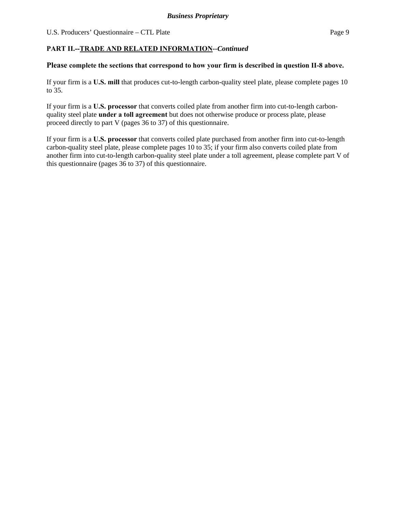## **PART II.--TRADE AND RELATED INFORMATION***--Continued*

#### **Please complete the sections that correspond to how your firm is described in question II-8 above.**

If your firm is a **U.S. mill** that produces cut-to-length carbon-quality steel plate, please complete pages 10 to 35.

If your firm is a **U.S. processor** that converts coiled plate from another firm into cut-to-length carbonquality steel plate **under a toll agreement** but does not otherwise produce or process plate, please proceed directly to part V (pages 36 to 37) of this questionnaire.

If your firm is a **U.S. processor** that converts coiled plate purchased from another firm into cut-to-length carbon-quality steel plate, please complete pages 10 to 35; if your firm also converts coiled plate from another firm into cut-to-length carbon-quality steel plate under a toll agreement, please complete part V of this questionnaire (pages 36 to 37) of this questionnaire.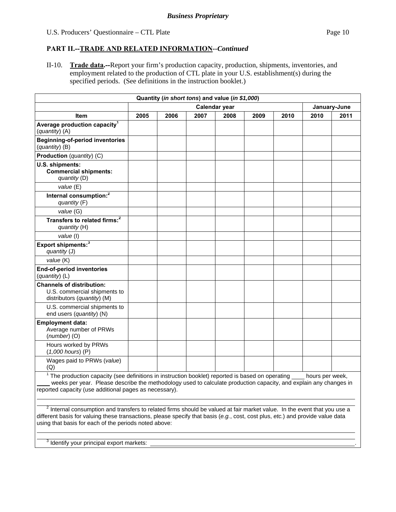### **PART II.--TRADE AND RELATED INFORMATION***--Continued*

II-10. **Trade data.--**Report your firm's production capacity, production, shipments, inventories, and employment related to the production of CTL plate in your U.S. establishment(s) during the specified periods. (See definitions in the instruction booklet.)

| Quantity (in short tons) and value (in \$1,000)                                                                                                                                                                                                                                                            |                               |      |      |      |      |      |                 |      |
|------------------------------------------------------------------------------------------------------------------------------------------------------------------------------------------------------------------------------------------------------------------------------------------------------------|-------------------------------|------|------|------|------|------|-----------------|------|
|                                                                                                                                                                                                                                                                                                            | Calendar year<br>January-June |      |      |      |      |      |                 |      |
| <b>Item</b>                                                                                                                                                                                                                                                                                                | 2005                          | 2006 | 2007 | 2008 | 2009 | 2010 | 2010            | 2011 |
| Average production capacity <sup>1</sup><br>(quantity) (A)                                                                                                                                                                                                                                                 |                               |      |      |      |      |      |                 |      |
| <b>Beginning-of-period inventories</b><br>(quantity) (B)                                                                                                                                                                                                                                                   |                               |      |      |      |      |      |                 |      |
| <b>Production</b> (quantity) (C)                                                                                                                                                                                                                                                                           |                               |      |      |      |      |      |                 |      |
| U.S. shipments:<br><b>Commercial shipments:</b><br>quantity (D)                                                                                                                                                                                                                                            |                               |      |      |      |      |      |                 |      |
| value (E)                                                                                                                                                                                                                                                                                                  |                               |      |      |      |      |      |                 |      |
| Internal consumption: <sup>2</sup><br>quantity (F)                                                                                                                                                                                                                                                         |                               |      |      |      |      |      |                 |      |
| value (G)                                                                                                                                                                                                                                                                                                  |                               |      |      |      |      |      |                 |      |
| Transfers to related firms: <sup>2</sup><br>quantity (H)                                                                                                                                                                                                                                                   |                               |      |      |      |      |      |                 |      |
| value (I)                                                                                                                                                                                                                                                                                                  |                               |      |      |      |      |      |                 |      |
| Export shipments: <sup>3</sup><br>quantity (J)                                                                                                                                                                                                                                                             |                               |      |      |      |      |      |                 |      |
| value (K)                                                                                                                                                                                                                                                                                                  |                               |      |      |      |      |      |                 |      |
| <b>End-of-period inventories</b><br>(quantity) (L)                                                                                                                                                                                                                                                         |                               |      |      |      |      |      |                 |      |
| <b>Channels of distribution:</b><br>U.S. commercial shipments to<br>distributors (quantity) (M)                                                                                                                                                                                                            |                               |      |      |      |      |      |                 |      |
| U.S. commercial shipments to<br>end users (quantity) (N)                                                                                                                                                                                                                                                   |                               |      |      |      |      |      |                 |      |
| <b>Employment data:</b><br>Average number of PRWs<br>$(number)$ (O)                                                                                                                                                                                                                                        |                               |      |      |      |      |      |                 |      |
| Hours worked by PRWs<br>$(1,000$ hours) $(P)$                                                                                                                                                                                                                                                              |                               |      |      |      |      |      |                 |      |
| Wages paid to PRWs (value)<br>(Q)                                                                                                                                                                                                                                                                          |                               |      |      |      |      |      |                 |      |
| $\frac{1}{1}$ The production capacity (see definitions in instruction booklet) reported is based on operating $\frac{1}{1}$<br>weeks per year. Please describe the methodology used to calculate production capacity, and explain any changes in<br>reported capacity (use additional pages as necessary). |                               |      |      |      |      |      | hours per week, |      |

 $^2$  Internal consumption and transfers to related firms should be valued at fair market value. In the event that you use a different basis for valuing these transactions, please specify that basis (*e.g.*, cost, cost plus, *etc.*) and provide value data using that basis for each of the periods noted above:  $\overline{a}$ 

 $3$  Identify your principal export markets:  $\Box$ 

 $\overline{a}$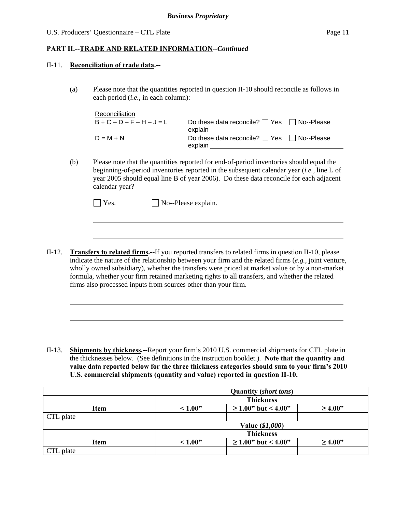$\overline{\phantom{a}}$ 

#### **PART II.--TRADE AND RELATED INFORMATION***--Continued*

#### II-11. **Reconciliation of trade data.--**

l

l

(a) Please note that the quantities reported in question II-10 should reconcile as follows in each period (*i.e.*, in each column):

| Reconciliation  |                                                                  |  |
|-----------------|------------------------------------------------------------------|--|
| $B+C-D-F-H-J=L$ | Do these data reconcile? $\Box$ Yes $\Box$ No--Please<br>explain |  |
| $D = M + N$     | Do these data reconcile? $\Box$ Yes $\Box$ No--Please<br>explain |  |

(b) Please note that the quantities reported for end-of-period inventories should equal the beginning-of-period inventories reported in the subsequent calendar year (*i.e.*, line L of year 2005 should equal line B of year 2006). Do these data reconcile for each adjacent calendar year?

| TYes. | $\Box$ No--Please explain. |
|-------|----------------------------|
|-------|----------------------------|

II-12. **Transfers to related firms.--**If you reported transfers to related firms in question II-10, please indicate the nature of the relationship between your firm and the related firms (*e.g.*, joint venture, wholly owned subsidiary), whether the transfers were priced at market value or by a non-market formula, whether your firm retained marketing rights to all transfers, and whether the related firms also processed inputs from sources other than your firm.

II-13. **Shipments by thickness.--**Report your firm's 2010 U.S. commercial shipments for CTL plate in the thicknesses below. (See definitions in the instruction booklet.). **Note that the quantity and value data reported below for the three thickness categories should sum to your firm's 2010 U.S. commercial shipments (quantity and value) reported in question II-10.** 

| <b>Quantity (short tons)</b> |                                                    |                          |              |  |  |  |  |
|------------------------------|----------------------------------------------------|--------------------------|--------------|--|--|--|--|
|                              | <b>Thickness</b>                                   |                          |              |  |  |  |  |
| <b>Item</b>                  | $\geq$ 1.00" but < 4.00"<br>~1.00"<br>$\geq 4.00"$ |                          |              |  |  |  |  |
| CTL plate                    |                                                    |                          |              |  |  |  |  |
| Value (\$1,000)              |                                                    |                          |              |  |  |  |  |
|                              | <b>Thickness</b>                                   |                          |              |  |  |  |  |
| <b>Item</b>                  | ~1.00"                                             | $\geq$ 1.00" but < 4.00" | $\geq 4.00"$ |  |  |  |  |
| CTL plate                    |                                                    |                          |              |  |  |  |  |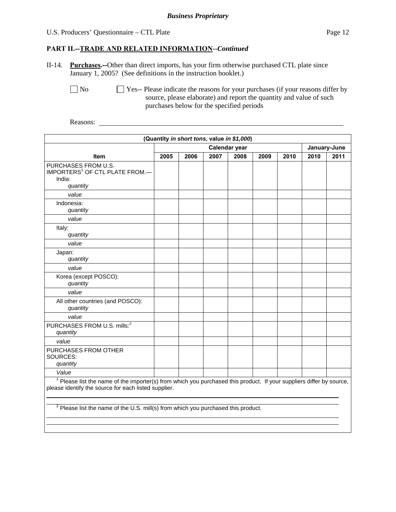#### U.S. Producers' Questionnaire – CTL Plate Page 12

#### **PART II.--TRADE AND RELATED INFORMATION***--Continued*

II-14. **Purchases.--**Other than direct imports, has your firm otherwise purchased CTL plate since January 1, 2005? (See definitions in the instruction booklet.)

 $\Box$  No  $\Box$  Yes-- Please indicate the reasons for your purchases (if your reasons differ by source, please elaborate) and report the quantity and value of such purchases below for the specified periods

Reasons:

֦

| (Quantity in short tons, value in \$1,000)                                                                                                                                     |                               |      |      |      |      |      |      |      |
|--------------------------------------------------------------------------------------------------------------------------------------------------------------------------------|-------------------------------|------|------|------|------|------|------|------|
|                                                                                                                                                                                | Calendar year<br>January-June |      |      |      |      |      |      |      |
| <b>Item</b>                                                                                                                                                                    | 2005                          | 2006 | 2007 | 2008 | 2009 | 2010 | 2010 | 2011 |
| PURCHASES FROM U.S.<br>IMPORTERS <sup>1</sup> OF CTL PLATE FROM.-<br>India:<br>quantity                                                                                        |                               |      |      |      |      |      |      |      |
| value                                                                                                                                                                          |                               |      |      |      |      |      |      |      |
| Indonesia:<br>quantity                                                                                                                                                         |                               |      |      |      |      |      |      |      |
| value                                                                                                                                                                          |                               |      |      |      |      |      |      |      |
| Italy:<br>quantity                                                                                                                                                             |                               |      |      |      |      |      |      |      |
| value                                                                                                                                                                          |                               |      |      |      |      |      |      |      |
| Japan:<br>quantity                                                                                                                                                             |                               |      |      |      |      |      |      |      |
| value                                                                                                                                                                          |                               |      |      |      |      |      |      |      |
| Korea (except POSCO):<br>quantity                                                                                                                                              |                               |      |      |      |      |      |      |      |
| value                                                                                                                                                                          |                               |      |      |      |      |      |      |      |
| All other countries (and POSCO):<br>quantity                                                                                                                                   |                               |      |      |      |      |      |      |      |
| value                                                                                                                                                                          |                               |      |      |      |      |      |      |      |
| PURCHASES FROM U.S. mills: <sup>2</sup><br>quantity                                                                                                                            |                               |      |      |      |      |      |      |      |
| value                                                                                                                                                                          |                               |      |      |      |      |      |      |      |
| PURCHASES FROM OTHER<br>SOURCES:<br>quantity                                                                                                                                   |                               |      |      |      |      |      |      |      |
| Value                                                                                                                                                                          |                               |      |      |      |      |      |      |      |
| $1$ Please list the name of the importer(s) from which you purchased this product. If your suppliers differ by source,<br>please identify the source for each listed supplier. |                               |      |      |      |      |      |      |      |

<sup>2</sup> Please list the name of the U.S. mill(s) from which you purchased this product.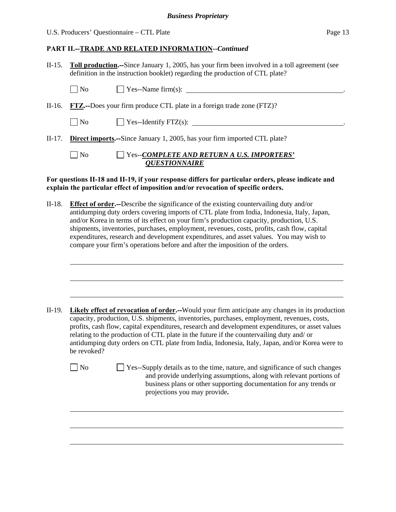#### U.S. Producers' Questionnaire – CTL Plate Page 13

l

l

## **PART II.--TRADE AND RELATED INFORMATION***--Continued*

II-15. **Toll production.--**Since January 1, 2005, has your firm been involved in a toll agreement (see definition in the instruction booklet) regarding the production of CTL plate?

| $\Box$ No      | $\Box$ Yes--Name firm(s):                                                        |
|----------------|----------------------------------------------------------------------------------|
|                | II-16. FTZ.—Does your firm produce CTL plate in a foreign trade zone $(FTZ)$ ?   |
| $\Box$ No      | $\Box$ Yes--Identify FTZ(s): $\Box$                                              |
|                | II-17. Direct imports.--Since January 1, 2005, has your firm imported CTL plate? |
| N <sub>0</sub> | $\Box$ Yes--COMPLETE AND RETURN A U.S. IMPORTERS'<br><b>QUESTIONNAIRE</b>        |

#### **For questions II-18 and II-19, if your response differs for particular orders, please indicate and explain the particular effect of imposition and/or revocation of specific orders.**

II-18. **Effect of order.--**Describe the significance of the existing countervailing duty and/or antidumping duty orders covering imports of CTL plate from India, Indonesia, Italy, Japan, and/or Korea in terms of its effect on your firm's production capacity, production, U.S. shipments, inventories, purchases, employment, revenues, costs, profits, cash flow, capital expenditures, research and development expenditures, and asset values. You may wish to compare your firm's operations before and after the imposition of the orders.

- II-19. **Likely effect of revocation of order.--**Would your firm anticipate any changes in its production capacity, production, U.S. shipments, inventories, purchases, employment, revenues, costs, profits, cash flow, capital expenditures, research and development expenditures, or asset values relating to the production of CTL plate in the future if the countervailing duty and/ or antidumping duty orders on CTL plate from India, Indonesia, Italy, Japan, and/or Korea were to be revoked?
	- $\Box$  No  $\Box$  Yes--Supply details as to the time, nature, and significance of such changes and provide underlying assumptions, along with relevant portions of business plans or other supporting documentation for any trends or projections you may provide**.**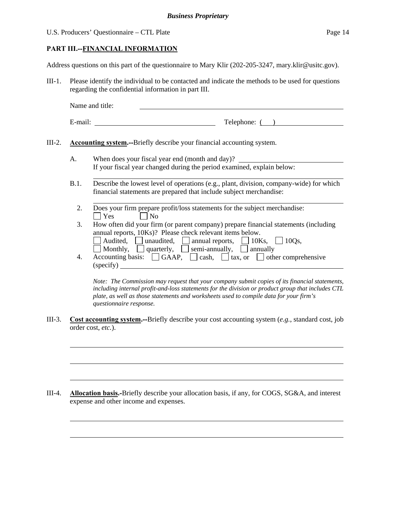#### U.S. Producers' Questionnaire – CTL Plate Page 14

l

 $\overline{a}$ 

l

#### **PART III.--FINANCIAL INFORMATION**

Address questions on this part of the questionnaire to Mary Klir (202-205-3247, mary.klir@usitc.gov).

III-1. Please identify the individual to be contacted and indicate the methods to be used for questions regarding the confidential information in part III.

Name and title:

| elephone:<br>$\sim$ 0.10.<br>---- |
|-----------------------------------|
|                                   |

III-2. **Accounting system.--**Briefly describe your financial accounting system.

- A. When does your fiscal year end (month and day)? If your fiscal year changed during the period examined, explain below:
- B.1. Describe the lowest level of operations (e.g., plant, division, company-wide) for which financial statements are prepared that include subject merchandise:
	- l 2. Does your firm prepare profit/loss statements for the subject merchandise:  $\vert$  Yes  $\vert$  No
	- 3. How often did your firm (or parent company) prepare financial statements (including annual reports, 10Ks)? Please check relevant items below.
		- $\Box$  Audited,  $\Box$  annual reports,  $\Box$  10Ks,  $\Box$  10Qs,  $\Box$  Monthly,  $\Box$  quarterly,  $\Box$  semi-annually,  $\Box$  annually
	- 4. Accounting basis:  $\Box$  GAAP,  $\Box$  cash,  $\Box$  tax, or  $\Box$  other comprehensive (specify)

*Note: The Commission may request that your company submit copies of its financial statements, including internal profit-and-loss statements for the division or product group that includes CTL plate, as well as those statements and worksheets used to compile data for your firm's questionnaire response.* 

III-3. **Cost accounting system.--**Briefly describe your cost accounting system (*e.g.*, standard cost, job order cost, *etc.*).

III-4. **Allocation basis.-**Briefly describe your allocation basis, if any, for COGS, SG&A, and interest expense and other income and expenses.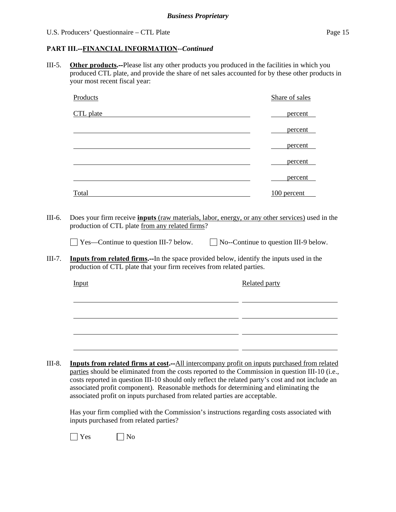#### **PART III.--FINANCIAL INFORMATION***--Continued*

III-5. **Other products.--**Please list any other products you produced in the facilities in which you produced CTL plate, and provide the share of net sales accounted for by these other products in your most recent fiscal year:

| Products                                                                                         | Share of sales                                                                                       |
|--------------------------------------------------------------------------------------------------|------------------------------------------------------------------------------------------------------|
| CTL plate                                                                                        | percent                                                                                              |
|                                                                                                  | percent                                                                                              |
|                                                                                                  | percent                                                                                              |
|                                                                                                  | percent                                                                                              |
|                                                                                                  | percent                                                                                              |
| Total                                                                                            | $100$ percent                                                                                        |
| production of CTL plate that your firm receives from related parties.                            | <b>Inputs from related firms.</b> --In the space provided below, identify the inputs used in the     |
| Input                                                                                            | Related party                                                                                        |
|                                                                                                  |                                                                                                      |
|                                                                                                  |                                                                                                      |
|                                                                                                  |                                                                                                      |
|                                                                                                  |                                                                                                      |
| parties should be eliminated from the costs reported to the Commission in question III-10 (i.e., | <b>Inputs from related firms at cost.</b> --All intercompany profit on inputs purchased from related |
|                                                                                                  | costs reported in question III-10 should only reflect the related party's cost and not include an    |

 Has your firm complied with the Commission's instructions regarding costs associated with inputs purchased from related parties?

associated profit component). Reasonable methods for determining and eliminating the

associated profit on inputs purchased from related parties are acceptable.

| эç<br>. . | Nο |
|-----------|----|
|-----------|----|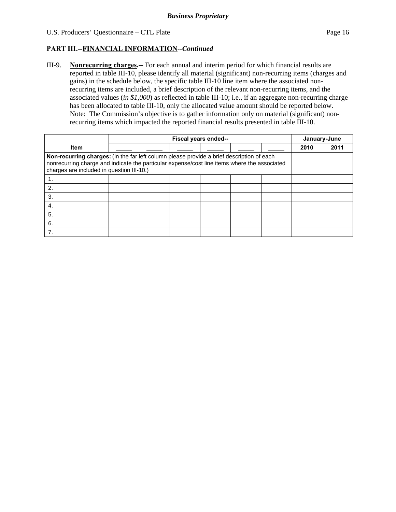## **PART III.--FINANCIAL INFORMATION***--Continued*

III-9. **Nonrecurring charges.--** For each annual and interim period for which financial results are reported in table III-10, please identify all material (significant) non-recurring items (charges and gains) in the schedule below, the specific table III-10 line item where the associated nonrecurring items are included, a brief description of the relevant non-recurring items, and the associated values (*in \$1,000*) as reflected in table III-10; i.e., if an aggregate non-recurring charge has been allocated to table III-10, only the allocated value amount should be reported below. Note: The Commission's objective is to gather information only on material (significant) nonrecurring items which impacted the reported financial results presented in table III-10.

|                                                                                                                                                                                                                                        | Fiscal years ended-- |  |  |  | January-June |  |      |      |
|----------------------------------------------------------------------------------------------------------------------------------------------------------------------------------------------------------------------------------------|----------------------|--|--|--|--------------|--|------|------|
| <b>Item</b>                                                                                                                                                                                                                            |                      |  |  |  |              |  | 2010 | 2011 |
| Non-recurring charges: (In the far left column please provide a brief description of each<br>nonrecurring charge and indicate the particular expense/cost line items where the associated<br>charges are included in question III-10.) |                      |  |  |  |              |  |      |      |
|                                                                                                                                                                                                                                        |                      |  |  |  |              |  |      |      |
| 2.                                                                                                                                                                                                                                     |                      |  |  |  |              |  |      |      |
| 3.                                                                                                                                                                                                                                     |                      |  |  |  |              |  |      |      |
| 4.                                                                                                                                                                                                                                     |                      |  |  |  |              |  |      |      |
| 5.                                                                                                                                                                                                                                     |                      |  |  |  |              |  |      |      |
| 6.                                                                                                                                                                                                                                     |                      |  |  |  |              |  |      |      |
| 7.                                                                                                                                                                                                                                     |                      |  |  |  |              |  |      |      |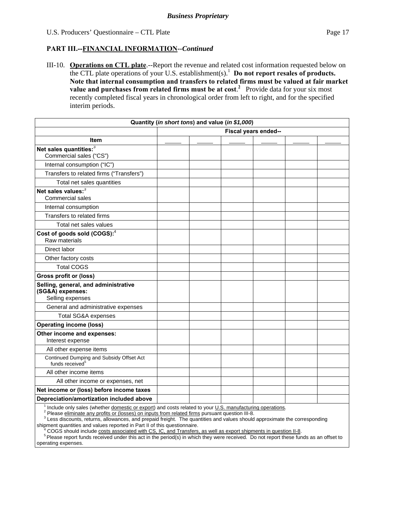#### **PART III.--FINANCIAL INFORMATION***--Continued*

III-10. **Operations on CTL plate**.--Report the revenue and related cost information requested below on the CTL plate operations of your U.S. establishment(s).<sup>1</sup> Do not report resales of products. **Note that internal consumption and transfers to related firms must be valued at fair market value and purchases from related firms must be at cost.<sup>2</sup> Provide data for your six most** recently completed fiscal years in chronological order from left to right, and for the specified interim periods.

| Quantity (in short tons) and value (in \$1,000)                                                          |                      |  |  |  |  |  |
|----------------------------------------------------------------------------------------------------------|----------------------|--|--|--|--|--|
|                                                                                                          | Fiscal years ended-- |  |  |  |  |  |
| <b>Item</b>                                                                                              |                      |  |  |  |  |  |
| Net sales quantities: <sup>3</sup><br>Commercial sales ("CS")                                            |                      |  |  |  |  |  |
| Internal consumption ("IC")                                                                              |                      |  |  |  |  |  |
| Transfers to related firms ("Transfers")                                                                 |                      |  |  |  |  |  |
| Total net sales quantities                                                                               |                      |  |  |  |  |  |
| Net sales values: <sup>3</sup><br>Commercial sales                                                       |                      |  |  |  |  |  |
| Internal consumption                                                                                     |                      |  |  |  |  |  |
| Transfers to related firms                                                                               |                      |  |  |  |  |  |
| Total net sales values                                                                                   |                      |  |  |  |  |  |
| Cost of goods sold (COGS): <sup>4</sup><br>Raw materials                                                 |                      |  |  |  |  |  |
| Direct labor                                                                                             |                      |  |  |  |  |  |
| Other factory costs                                                                                      |                      |  |  |  |  |  |
| <b>Total COGS</b>                                                                                        |                      |  |  |  |  |  |
| <b>Gross profit or (loss)</b>                                                                            |                      |  |  |  |  |  |
| Selling, general, and administrative<br>(SG&A) expenses:<br>Selling expenses                             |                      |  |  |  |  |  |
| General and administrative expenses                                                                      |                      |  |  |  |  |  |
| <b>Total SG&amp;A expenses</b>                                                                           |                      |  |  |  |  |  |
| <b>Operating income (loss)</b>                                                                           |                      |  |  |  |  |  |
| Other income and expenses:<br>Interest expense                                                           |                      |  |  |  |  |  |
| All other expense items                                                                                  |                      |  |  |  |  |  |
| Continued Dumping and Subsidy Offset Act<br>funds received <sup>5</sup>                                  |                      |  |  |  |  |  |
| All other income items                                                                                   |                      |  |  |  |  |  |
| All other income or expenses, net                                                                        |                      |  |  |  |  |  |
| Net income or (loss) before income taxes                                                                 |                      |  |  |  |  |  |
| Depreciation/amortization included above                                                                 |                      |  |  |  |  |  |
| Include only sales (whether domestic or export) and costs related to your U.S. manufacturing operations. |                      |  |  |  |  |  |

<sup>2</sup> Please eliminate any profits or (losses) on inputs from related firms pursuant question III-8.

<sup>3</sup> Less discounts, returns, allowances, and prepaid freight. The quantities and values should approximate the corresponding shipment quantities and values reported in Part II of this questionnaire.

 <sup>4</sup> COGS should include costs associated with CS, IC, and Transfers, as well as export shipments in question II-8.

<sup>5</sup> Please report funds received under this act in the period(s) in which they were received. Do not report these funds as an offset to operating expenses.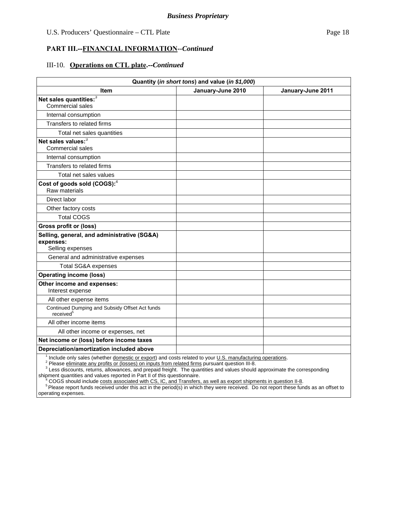#### **PART III.--FINANCIAL INFORMATION***--Continued*

#### III-10. **Operations on CTL plate.--***Continued*

| Quantity (in short tons) and value (in \$1,000)                              |  |  |  |  |  |  |
|------------------------------------------------------------------------------|--|--|--|--|--|--|
| January-June 2010<br>January-June 2011<br>Item                               |  |  |  |  |  |  |
| Net sales quantities: <sup>3</sup>                                           |  |  |  |  |  |  |
| <b>Commercial sales</b>                                                      |  |  |  |  |  |  |
| Internal consumption                                                         |  |  |  |  |  |  |
| Transfers to related firms                                                   |  |  |  |  |  |  |
| Total net sales quantities                                                   |  |  |  |  |  |  |
| Net sales values: <sup>3</sup><br><b>Commercial sales</b>                    |  |  |  |  |  |  |
| Internal consumption                                                         |  |  |  |  |  |  |
| Transfers to related firms                                                   |  |  |  |  |  |  |
| Total net sales values                                                       |  |  |  |  |  |  |
| Cost of goods sold (COGS): <sup>4</sup><br>Raw materials                     |  |  |  |  |  |  |
| Direct labor                                                                 |  |  |  |  |  |  |
| Other factory costs                                                          |  |  |  |  |  |  |
| <b>Total COGS</b>                                                            |  |  |  |  |  |  |
| <b>Gross profit or (loss)</b>                                                |  |  |  |  |  |  |
| Selling, general, and administrative (SG&A)<br>expenses:<br>Selling expenses |  |  |  |  |  |  |
| General and administrative expenses                                          |  |  |  |  |  |  |
| <b>Total SG&amp;A expenses</b>                                               |  |  |  |  |  |  |
| <b>Operating income (loss)</b>                                               |  |  |  |  |  |  |
| Other income and expenses:<br>Interest expense                               |  |  |  |  |  |  |
| All other expense items                                                      |  |  |  |  |  |  |
| Continued Dumping and Subsidy Offset Act funds<br>received <sup>5</sup>      |  |  |  |  |  |  |
| All other income items                                                       |  |  |  |  |  |  |
| All other income or expenses, net                                            |  |  |  |  |  |  |
| Net income or (loss) before income taxes                                     |  |  |  |  |  |  |
| Depreciation/amortization included above                                     |  |  |  |  |  |  |
|                                                                              |  |  |  |  |  |  |

<sup>1</sup> Include only sales (whether *domestic or export*) and costs related to your <u>U.S. manufacturing operations</u>.<br><sup>2</sup> Please eliminate any profits or (losses) on inputs from related firms pursuant question III-8.

<sup>3</sup> Less discounts, returns, allowances, and prepaid freight. The quantities and values should approximate the corresponding

shipment quantities and values reported in Part II of this questionnaire.<br><sup>4</sup> COGS should include <u>costs associated with CS, IC, and Transfers, as well as export shipments in question II-8</u>.

<sup>5</sup> Please report funds received under this act in the period(s) in which they were received. Do not report these funds as an offset to operating expenses.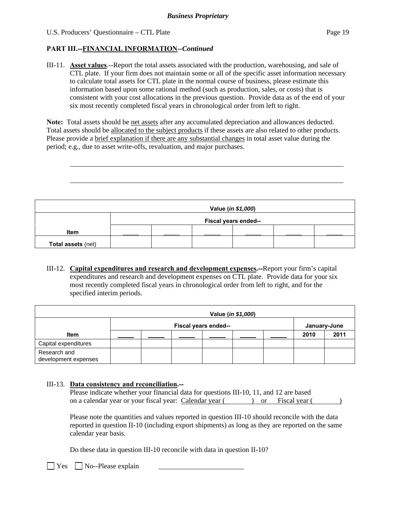l

### **PART III.--FINANCIAL INFORMATION***--Continued*

III-11. **Asset values**.--Report the total assets associated with the production, warehousing, and sale of CTL plate. If your firm does not maintain some or all of the specific asset information necessary to calculate total assets for CTL plate in the normal course of business, please estimate this information based upon some rational method (such as production, sales, or costs) that is consistent with your cost allocations in the previous question. Provide data as of the end of your six most recently completed fiscal years in chronological order from left to right.

**Note:** Total assets should be net assets after any accumulated depreciation and allowances deducted. Total assets should be allocated to the subject products if these assets are also related to other products. Please provide a brief explanation if there are any substantial changes in total asset value during the period; e.g., due to asset write-offs, revaluation, and major purchases.

| Value (in \$1,000)        |                      |  |  |  |  |  |  |  |
|---------------------------|----------------------|--|--|--|--|--|--|--|
|                           | Fiscal years ended-- |  |  |  |  |  |  |  |
| <b>Item</b>               |                      |  |  |  |  |  |  |  |
| <b>Total assets (net)</b> |                      |  |  |  |  |  |  |  |

III-12. **Capital expenditures and research and development expenses.--**Report your firm's capital expenditures and research and development expenses on CTL plate. Provide data for your six most recently completed fiscal years in chronological order from left to right, and for the specified interim periods.

|                                      |                      |  |  |  | Value (in \$1,000) |              |      |      |
|--------------------------------------|----------------------|--|--|--|--------------------|--------------|------|------|
|                                      | Fiscal years ended-- |  |  |  |                    | January-June |      |      |
| <b>Item</b>                          |                      |  |  |  |                    |              | 2010 | 2011 |
| Capital expenditures                 |                      |  |  |  |                    |              |      |      |
| Research and<br>development expenses |                      |  |  |  |                    |              |      |      |

#### III-13. **Data consistency and reconciliation.--**

| Please indicate whether your financial data for questions III-10, 11, and 12 are based |  |          |               |  |
|----------------------------------------------------------------------------------------|--|----------|---------------|--|
| on a calendar year or your fiscal year: Calendar year (                                |  | $\alpha$ | Fiscal vear ( |  |

Please note the quantities and values reported in question III-10 should reconcile with the data reported in question II-10 (including export shipments) as long as they are reported on the same calendar year basis.

Do these data in question III-10 reconcile with data in question II-10?

 $\Box$  Yes  $\Box$  No--Please explain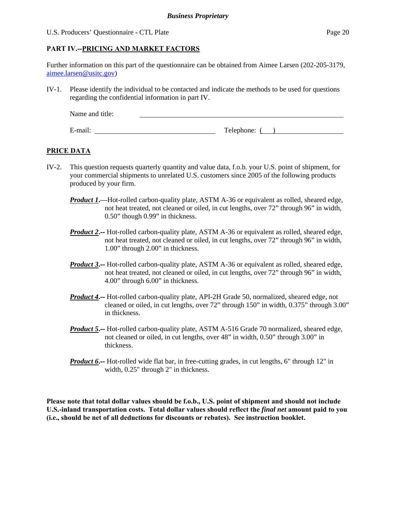## **PART IV.--PRICING AND MARKET FACTORS**

Further information on this part of the questionnaire can be obtained from Aimee Larsen (202-205-3179, aimee.larsen@usitc.gov)

IV-1. Please identify the individual to be contacted and indicate the methods to be used for questions regarding the confidential information in part IV.

| Name and title: |              |
|-----------------|--------------|
|                 |              |
| E-mail:         | Telephone: ( |

### **PRICE DATA**

- IV-2. This question requests quarterly quantity and value data, f.o.b. your U.S. point of shipment, for your commercial shipments to unrelated U.S. customers since 2005 of the following products produced by your firm.
	- *Product 1***.**—Hot-rolled carbon-quality plate, ASTM A-36 or equivalent as rolled, sheared edge, not heat treated, not cleaned or oiled, in cut lengths, over 72" through 96" in width, 0.50" though 0.99" in thickness.
	- *Product 2***.--** Hot-rolled carbon-quality plate, ASTM A-36 or equivalent as rolled, sheared edge, not heat treated, not cleaned or oiled, in cut lengths, over 72" through 96" in width, 1.00" through 2.00" in thickness.
	- *Product 3***<sup>2</sup>**-- Hot-rolled carbon-quality plate, ASTM A-36 or equivalent as rolled, sheared edge, not heat treated, not cleaned or oiled, in cut lengths, over 72" through 96" in width, 4.00" through 6.00" in thickness.
	- *Product 4***.--** Hot-rolled carbon-quality plate, API-2H Grade 50, normalized, sheared edge, not cleaned or oiled, in cut lengths, over 72" through 150" in width, 0.375" through 3.00" in thickness.
	- *Product 5***.--** Hot-rolled carbon-quality plate, ASTM A-516 Grade 70 normalized, sheared edge, not cleaned or oiled, in cut lengths, over 48" in width, 0.50" through 3.00" in thickness.
	- *Product 6***.**—— Hot-rolled wide flat bar, in free-cutting grades, in cut lengths, 6" through 12" in width, 0.25" through 2" in thickness.

**Please note that total dollar values should be f.o.b., U.S. point of shipment and should not include U.S.-inland transportation costs. Total dollar values should reflect the** *final net* **amount paid to you (i.e., should be net of all deductions for discounts or rebates). See instruction booklet.**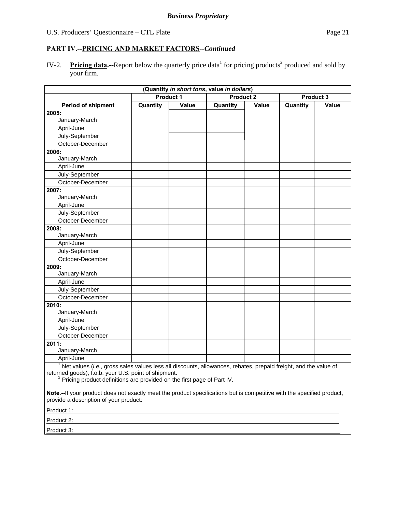IV-2. Pricing data.--Report below the quarterly price data<sup>1</sup> for pricing products<sup>2</sup> produced and sold by your firm.

|                                                                                                                                                                                                                                                                                                                                                                                          |          |                                      | (Quantity in short tons, value in dollars) |       |                  |              |  |
|------------------------------------------------------------------------------------------------------------------------------------------------------------------------------------------------------------------------------------------------------------------------------------------------------------------------------------------------------------------------------------------|----------|--------------------------------------|--------------------------------------------|-------|------------------|--------------|--|
|                                                                                                                                                                                                                                                                                                                                                                                          |          | <b>Product 1</b><br><b>Product 2</b> |                                            |       | <b>Product 3</b> |              |  |
| <b>Period of shipment</b>                                                                                                                                                                                                                                                                                                                                                                | Quantity | Value                                | Quantity                                   | Value | Quantity         | <b>Value</b> |  |
| 2005:                                                                                                                                                                                                                                                                                                                                                                                    |          |                                      |                                            |       |                  |              |  |
| January-March                                                                                                                                                                                                                                                                                                                                                                            |          |                                      |                                            |       |                  |              |  |
| April-June                                                                                                                                                                                                                                                                                                                                                                               |          |                                      |                                            |       |                  |              |  |
| July-September                                                                                                                                                                                                                                                                                                                                                                           |          |                                      |                                            |       |                  |              |  |
| October-December                                                                                                                                                                                                                                                                                                                                                                         |          |                                      |                                            |       |                  |              |  |
| 2006:                                                                                                                                                                                                                                                                                                                                                                                    |          |                                      |                                            |       |                  |              |  |
| January-March                                                                                                                                                                                                                                                                                                                                                                            |          |                                      |                                            |       |                  |              |  |
| April-June                                                                                                                                                                                                                                                                                                                                                                               |          |                                      |                                            |       |                  |              |  |
| July-September                                                                                                                                                                                                                                                                                                                                                                           |          |                                      |                                            |       |                  |              |  |
| October-December                                                                                                                                                                                                                                                                                                                                                                         |          |                                      |                                            |       |                  |              |  |
| 2007:                                                                                                                                                                                                                                                                                                                                                                                    |          |                                      |                                            |       |                  |              |  |
| January-March                                                                                                                                                                                                                                                                                                                                                                            |          |                                      |                                            |       |                  |              |  |
| April-June                                                                                                                                                                                                                                                                                                                                                                               |          |                                      |                                            |       |                  |              |  |
| July-September                                                                                                                                                                                                                                                                                                                                                                           |          |                                      |                                            |       |                  |              |  |
| October-December                                                                                                                                                                                                                                                                                                                                                                         |          |                                      |                                            |       |                  |              |  |
| 2008:                                                                                                                                                                                                                                                                                                                                                                                    |          |                                      |                                            |       |                  |              |  |
| January-March                                                                                                                                                                                                                                                                                                                                                                            |          |                                      |                                            |       |                  |              |  |
| April-June                                                                                                                                                                                                                                                                                                                                                                               |          |                                      |                                            |       |                  |              |  |
| July-September                                                                                                                                                                                                                                                                                                                                                                           |          |                                      |                                            |       |                  |              |  |
| October-December                                                                                                                                                                                                                                                                                                                                                                         |          |                                      |                                            |       |                  |              |  |
| 2009:                                                                                                                                                                                                                                                                                                                                                                                    |          |                                      |                                            |       |                  |              |  |
| January-March                                                                                                                                                                                                                                                                                                                                                                            |          |                                      |                                            |       |                  |              |  |
| April-June                                                                                                                                                                                                                                                                                                                                                                               |          |                                      |                                            |       |                  |              |  |
| July-September                                                                                                                                                                                                                                                                                                                                                                           |          |                                      |                                            |       |                  |              |  |
| October-December                                                                                                                                                                                                                                                                                                                                                                         |          |                                      |                                            |       |                  |              |  |
| 2010:                                                                                                                                                                                                                                                                                                                                                                                    |          |                                      |                                            |       |                  |              |  |
| January-March                                                                                                                                                                                                                                                                                                                                                                            |          |                                      |                                            |       |                  |              |  |
| April-June                                                                                                                                                                                                                                                                                                                                                                               |          |                                      |                                            |       |                  |              |  |
| July-September                                                                                                                                                                                                                                                                                                                                                                           |          |                                      |                                            |       |                  |              |  |
| October-December                                                                                                                                                                                                                                                                                                                                                                         |          |                                      |                                            |       |                  |              |  |
| 2011:                                                                                                                                                                                                                                                                                                                                                                                    |          |                                      |                                            |       |                  |              |  |
| January-March                                                                                                                                                                                                                                                                                                                                                                            |          |                                      |                                            |       |                  |              |  |
| April-June                                                                                                                                                                                                                                                                                                                                                                               |          |                                      |                                            |       |                  |              |  |
| Net values (i.e., gross sales values less all discounts, allowances, rebates, prepaid freight, and the value of<br>returned goods), f.o.b. your U.S. point of shipment.<br><sup>2</sup> Pricing product definitions are provided on the first page of Part IV.<br>Note.--If your product does not exactly meet the product specifications but is competitive with the specified product, |          |                                      |                                            |       |                  |              |  |
| provide a description of your product:                                                                                                                                                                                                                                                                                                                                                   |          |                                      |                                            |       |                  |              |  |
| Product 1: Product 1:                                                                                                                                                                                                                                                                                                                                                                    |          |                                      |                                            |       |                  |              |  |
| Product 2: Product 2:                                                                                                                                                                                                                                                                                                                                                                    |          |                                      |                                            |       |                  |              |  |

Product 3: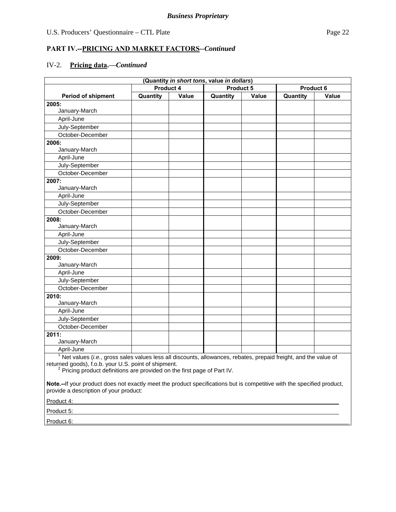## **PART IV.--PRICING AND MARKET FACTORS***--Continued*

## IV-2. **Pricing data.—***Continued*

| (Quantity in short tons, value in dollars)                                                                                                                                                                                                                         |                               |       |          |           |          |       |
|--------------------------------------------------------------------------------------------------------------------------------------------------------------------------------------------------------------------------------------------------------------------|-------------------------------|-------|----------|-----------|----------|-------|
|                                                                                                                                                                                                                                                                    | <b>Product 4</b><br>Product 5 |       |          | Product 6 |          |       |
| <b>Period of shipment</b>                                                                                                                                                                                                                                          | Quantity                      | Value | Quantity | Value     | Quantity | Value |
| 2005:                                                                                                                                                                                                                                                              |                               |       |          |           |          |       |
| January-March                                                                                                                                                                                                                                                      |                               |       |          |           |          |       |
| April-June                                                                                                                                                                                                                                                         |                               |       |          |           |          |       |
| July-September                                                                                                                                                                                                                                                     |                               |       |          |           |          |       |
| October-December                                                                                                                                                                                                                                                   |                               |       |          |           |          |       |
| 2006:                                                                                                                                                                                                                                                              |                               |       |          |           |          |       |
| January-March                                                                                                                                                                                                                                                      |                               |       |          |           |          |       |
| April-June                                                                                                                                                                                                                                                         |                               |       |          |           |          |       |
| July-September                                                                                                                                                                                                                                                     |                               |       |          |           |          |       |
| October-December                                                                                                                                                                                                                                                   |                               |       |          |           |          |       |
| 2007:                                                                                                                                                                                                                                                              |                               |       |          |           |          |       |
| January-March                                                                                                                                                                                                                                                      |                               |       |          |           |          |       |
| April-June                                                                                                                                                                                                                                                         |                               |       |          |           |          |       |
| July-September                                                                                                                                                                                                                                                     |                               |       |          |           |          |       |
| October-December                                                                                                                                                                                                                                                   |                               |       |          |           |          |       |
| 2008:                                                                                                                                                                                                                                                              |                               |       |          |           |          |       |
| January-March                                                                                                                                                                                                                                                      |                               |       |          |           |          |       |
| April-June                                                                                                                                                                                                                                                         |                               |       |          |           |          |       |
| July-September                                                                                                                                                                                                                                                     |                               |       |          |           |          |       |
| October-December                                                                                                                                                                                                                                                   |                               |       |          |           |          |       |
| 2009:                                                                                                                                                                                                                                                              |                               |       |          |           |          |       |
| January-March                                                                                                                                                                                                                                                      |                               |       |          |           |          |       |
| April-June                                                                                                                                                                                                                                                         |                               |       |          |           |          |       |
| July-September                                                                                                                                                                                                                                                     |                               |       |          |           |          |       |
| October-December                                                                                                                                                                                                                                                   |                               |       |          |           |          |       |
| 2010:                                                                                                                                                                                                                                                              |                               |       |          |           |          |       |
| January-March                                                                                                                                                                                                                                                      |                               |       |          |           |          |       |
| April-June                                                                                                                                                                                                                                                         |                               |       |          |           |          |       |
| July-September                                                                                                                                                                                                                                                     |                               |       |          |           |          |       |
| October-December                                                                                                                                                                                                                                                   |                               |       |          |           |          |       |
| 2011:                                                                                                                                                                                                                                                              |                               |       |          |           |          |       |
| January-March                                                                                                                                                                                                                                                      |                               |       |          |           |          |       |
| April-June                                                                                                                                                                                                                                                         |                               |       |          |           |          |       |
| $1$ Net values (i.e., gross sales values less all discounts, allowances, rebates, prepaid freight, and the value of<br>returned goods), f.o.b. your U.S. point of shipment.<br><sup>2</sup> Pricing product definitions are provided on the first page of Part IV. |                               |       |          |           |          |       |
| Note.--If your product does not exactly meet the product specifications but is competitive with the specified product,<br>provide a description of your product:                                                                                                   |                               |       |          |           |          |       |
| Product 4:                                                                                                                                                                                                                                                         |                               |       |          |           |          |       |

Product 5:

Product 6: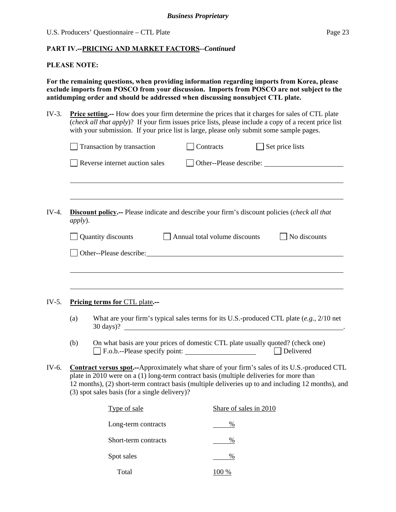#### **PLEASE NOTE:**

**For the remaining questions, when providing information regarding imports from Korea, please exclude imports from POSCO from your discussion. Imports from POSCO are not subject to the antidumping order and should be addressed when discussing nonsubject CTL plate.** 

IV-3. **Price setting.--** How does your firm determine the prices that it charges for sales of CTL plate (*check all that apply*)? If your firm issues price lists, please include a copy of a recent price list with your submission. If your price list is large, please only submit some sample pages.

|         | Transaction by transaction                                                              | Contracts                     | Set price lists                                                                                                                                                                                                                |
|---------|-----------------------------------------------------------------------------------------|-------------------------------|--------------------------------------------------------------------------------------------------------------------------------------------------------------------------------------------------------------------------------|
|         | Reverse internet auction sales                                                          |                               | Other--Please describe:                                                                                                                                                                                                        |
|         |                                                                                         |                               |                                                                                                                                                                                                                                |
| apply). |                                                                                         |                               | <b>Discount policy.</b> -- Please indicate and describe your firm's discount policies (check all that                                                                                                                          |
|         | Quantity discounts                                                                      | Annual total volume discounts | $\Box$ No discounts                                                                                                                                                                                                            |
|         |                                                                                         |                               | Other--Please describe: Note that the set of the set of the set of the set of the set of the set of the set of the set of the set of the set of the set of the set of the set of the set of the set of the set of the set of t |
|         |                                                                                         |                               |                                                                                                                                                                                                                                |
|         |                                                                                         |                               |                                                                                                                                                                                                                                |
|         |                                                                                         |                               |                                                                                                                                                                                                                                |
|         | Pricing terms for CTL plate.--                                                          |                               |                                                                                                                                                                                                                                |
| (a)     |                                                                                         |                               | What are your firm's typical sales terms for its U.S.-produced CTL plate $(e.g., 2/10$ net                                                                                                                                     |
|         |                                                                                         |                               | 30 days)?                                                                                                                                                                                                                      |
| (b)     | F.o.b.--Please specify point:                                                           |                               | On what basis are your prices of domestic CTL plate usually quoted? (check one)<br>$\Box$ Delivered                                                                                                                            |
|         | plate in 2010 were on a (1) long-term contract basis (multiple deliveries for more than |                               | <b>Contract versus spot.</b> —Approximately what share of your firm's sales of its U.S.-produced CTL                                                                                                                           |
|         | (3) spot sales basis (for a single delivery)?                                           |                               | 12 months), (2) short-term contract basis (multiple deliveries up to and including 12 months), and                                                                                                                             |
|         | Type of sale                                                                            |                               | Share of sales in 2010                                                                                                                                                                                                         |
|         | Long-term contracts                                                                     | %                             |                                                                                                                                                                                                                                |
|         | Short-term contracts                                                                    | $\%$                          |                                                                                                                                                                                                                                |
|         | Spot sales                                                                              | $\%$                          |                                                                                                                                                                                                                                |

Total 100 %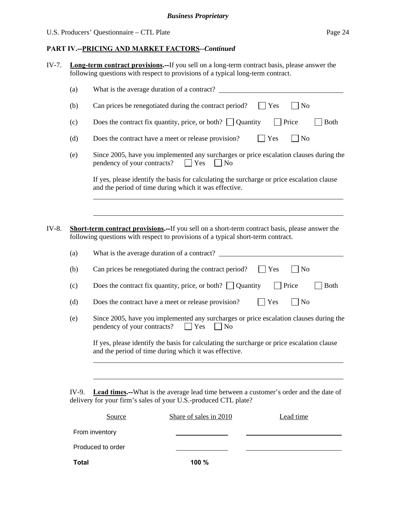#### **PART IV.--PRICING AND MARKET FACTORS***--Continued*

IV-7. **Long-term contract provisions.--**If you sell on a long-term contract basis, please answer the following questions with respect to provisions of a typical long-term contract.

|       | (a) | What is the average duration of a contract?                                                                                                                                                |
|-------|-----|--------------------------------------------------------------------------------------------------------------------------------------------------------------------------------------------|
|       | (b) | Can prices be renegotiated during the contract period?<br>N <sub>o</sub><br>Yes                                                                                                            |
|       | (c) | Does the contract fix quantity, price, or both? $\Box$ Quantity<br>Price<br><b>Both</b>                                                                                                    |
|       | (d) | $\log$<br>Does the contract have a meet or release provision?<br>Yes                                                                                                                       |
|       | (e) | Since 2005, have you implemented any surcharges or price escalation clauses during the<br>pendency of your contracts?<br>Yes<br>N <sub>o</sub>                                             |
|       |     | If yes, please identify the basis for calculating the surcharge or price escalation clause<br>and the period of time during which it was effective.                                        |
|       |     |                                                                                                                                                                                            |
| IV-8. |     | <b>Short-term contract provisions.--</b> If you sell on a short-term contract basis, please answer the<br>following questions with respect to provisions of a typical short-term contract. |
|       | (a) | What is the average duration of a contract?                                                                                                                                                |
|       | (b) | $\n  o$<br>Can prices be renegotiated during the contract period?<br>Yes                                                                                                                   |
|       | (c) | Does the contract fix quantity, price, or both? $\Box$ Quantity<br>Price<br><b>Both</b>                                                                                                    |
|       | (d) | $\rfloor$ No<br>Does the contract have a meet or release provision?<br>Yes                                                                                                                 |
|       | (e) | Since 2005, have you implemented any surcharges or price escalation clauses during the<br>pendency of your contracts?<br>$\Box$ Yes<br>] No                                                |
|       |     | If yes, please identify the basis for calculating the surcharge or price escalation clause<br>and the period of time during which it was effective.                                        |
|       |     |                                                                                                                                                                                            |

IV-9. **Lead times.--**What is the average lead time between a customer's order and the date of delivery for your firm's sales of your U.S.-produced CTL plate?

| Source            | Share of sales in 2010 | Lead time |
|-------------------|------------------------|-----------|
| From inventory    |                        |           |
| Produced to order |                        |           |
| Total             | 100%                   |           |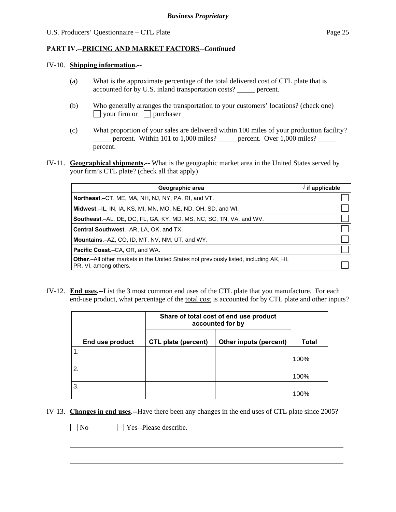#### IV-10. **Shipping information.--**

- (a) What is the approximate percentage of the total delivered cost of CTL plate that is accounted for by U.S. inland transportation costs? \_\_\_\_\_ percent.
- (b) Who generally arranges the transportation to your customers' locations? (check one)  $\Box$  your firm or  $\Box$  purchaser
- (c) What proportion of your sales are delivered within 100 miles of your production facility? percent. Within 101 to 1,000 miles? percent. Over 1,000 miles? percent.
- IV-11. **Geographical shipments.--** What is the geographic market area in the United States served by your firm's CTL plate? (check all that apply)

| Geographic area                                                                                                         | $\sqrt{ }$ if applicable |
|-------------------------------------------------------------------------------------------------------------------------|--------------------------|
| Northeast.–CT, ME, MA, NH, NJ, NY, PA, RI, and VT.                                                                      |                          |
| Midwest.–IL, IN, IA, KS, MI, MN, MO, NE, ND, OH, SD, and WI.                                                            |                          |
| Southeast.–AL, DE, DC, FL, GA, KY, MD, MS, NC, SC, TN, VA, and WV.                                                      |                          |
| Central Southwest.-AR, LA, OK, and TX.                                                                                  |                          |
| <b>Mountains.-AZ, CO, ID, MT, NV, NM, UT, and WY.</b>                                                                   |                          |
| <b>Pacific Coast.–C</b> A, OR, and WA.                                                                                  |                          |
| <b>Other</b> .-All other markets in the United States not previously listed, including AK, HI,<br>PR, VI, among others. |                          |

IV-12. **End uses.--**List the 3 most common end uses of the CTL plate that you manufacture. For each end-use product, what percentage of the total cost is accounted for by CTL plate and other inputs?

|                 | Share of total cost of end use product<br>accounted for by |                        |              |
|-----------------|------------------------------------------------------------|------------------------|--------------|
| End use product | <b>CTL plate (percent)</b>                                 | Other inputs (percent) | <b>Total</b> |
|                 |                                                            |                        | 100%         |
| 2.              |                                                            |                        | 100%         |
| 3.              |                                                            |                        | 100%         |

IV-13. **Changes in end uses.--**Have there been any changes in the end uses of CTL plate since 2005?

 $\overline{a}$ 

No **Yes--Please describe.**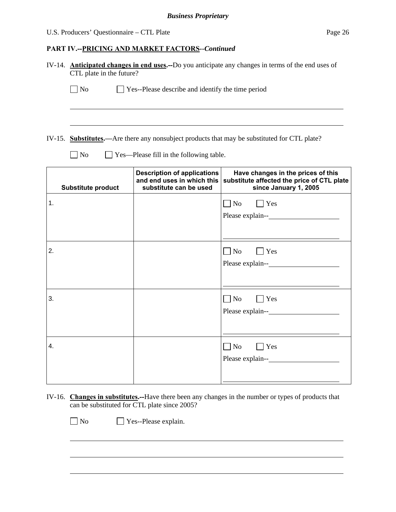### U.S. Producers' Questionnaire – CTL Plate Page 26

## **PART IV.--PRICING AND MARKET FACTORS***--Continued*

|                           | IV-14. Anticipated changes in end uses.--Do you anticipate any changes in terms of the end uses of<br>CTL plate in the future? |                                                                                                           |  |  |  |
|---------------------------|--------------------------------------------------------------------------------------------------------------------------------|-----------------------------------------------------------------------------------------------------------|--|--|--|
| $\Box$ No                 | $\Box$ Yes--Please describe and identify the time period                                                                       |                                                                                                           |  |  |  |
|                           |                                                                                                                                |                                                                                                           |  |  |  |
| $\n  o$                   | Yes—Please fill in the following table.                                                                                        | IV-15. Substitutes.—Are there any nonsubject products that may be substituted for CTL plate?              |  |  |  |
|                           |                                                                                                                                |                                                                                                           |  |  |  |
| <b>Substitute product</b> | <b>Description of applications</b><br>and end uses in which this<br>substitute can be used                                     | Have changes in the prices of this<br>substitute affected the price of CTL plate<br>since January 1, 2005 |  |  |  |
| 1.                        |                                                                                                                                | $\Box$ No<br>$\Box$ Yes                                                                                   |  |  |  |
|                           |                                                                                                                                |                                                                                                           |  |  |  |
|                           |                                                                                                                                |                                                                                                           |  |  |  |
| 2.                        |                                                                                                                                | $\Box$ No<br>$\bigcap$ Yes                                                                                |  |  |  |
|                           |                                                                                                                                | Please explain--                                                                                          |  |  |  |
|                           |                                                                                                                                |                                                                                                           |  |  |  |
| 3.                        |                                                                                                                                | $\Box$ No<br>$\Box$ Yes                                                                                   |  |  |  |
|                           |                                                                                                                                |                                                                                                           |  |  |  |
|                           |                                                                                                                                |                                                                                                           |  |  |  |
| 4.                        |                                                                                                                                | $\Box$ No<br>$\big $ Yes                                                                                  |  |  |  |
|                           |                                                                                                                                |                                                                                                           |  |  |  |
|                           |                                                                                                                                |                                                                                                           |  |  |  |

IV-16. **Changes in substitutes.--**Have there been any changes in the number or types of products that can be substituted for CTL plate since 2005?

No **Yes--Please explain.** 

 $\overline{a}$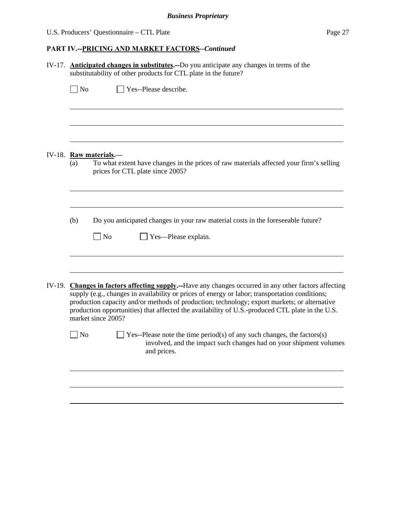## U.S. Producers' Questionnaire – CTL Plate Page 27

| IV-17. |           | <b>Anticipated changes in substitutes.</b> --Do you anticipate any changes in terms of the<br>substitutability of other products for CTL plate in the future?                                                                                                                                                                                                                                                                    |  |  |  |  |  |  |
|--------|-----------|----------------------------------------------------------------------------------------------------------------------------------------------------------------------------------------------------------------------------------------------------------------------------------------------------------------------------------------------------------------------------------------------------------------------------------|--|--|--|--|--|--|
|        | $\Box$ No | Yes--Please describe.                                                                                                                                                                                                                                                                                                                                                                                                            |  |  |  |  |  |  |
|        |           |                                                                                                                                                                                                                                                                                                                                                                                                                                  |  |  |  |  |  |  |
|        |           | IV-18. Raw materials.-                                                                                                                                                                                                                                                                                                                                                                                                           |  |  |  |  |  |  |
|        | (a)       | To what extent have changes in the prices of raw materials affected your firm's selling<br>prices for CTL plate since 2005?                                                                                                                                                                                                                                                                                                      |  |  |  |  |  |  |
|        | (b)       |                                                                                                                                                                                                                                                                                                                                                                                                                                  |  |  |  |  |  |  |
|        |           | Do you anticipated changes in your raw material costs in the foreseeable future?<br>  No<br>Yes—Please explain.                                                                                                                                                                                                                                                                                                                  |  |  |  |  |  |  |
| IV-19. |           | <b>Changes in factors affecting supply.</b> —Have any changes occurred in any other factors affecting<br>supply (e.g., changes in availability or prices of energy or labor; transportation conditions;<br>production capacity and/or methods of production; technology; export markets; or alternative<br>production opportunities) that affected the availability of U.S.-produced CTL plate in the U.S.<br>market since 2005? |  |  |  |  |  |  |
|        | No        | Yes--Please note the time period(s) of any such changes, the factors(s)<br>involved, and the impact such changes had on your shipment volumes<br>and prices.                                                                                                                                                                                                                                                                     |  |  |  |  |  |  |
|        |           |                                                                                                                                                                                                                                                                                                                                                                                                                                  |  |  |  |  |  |  |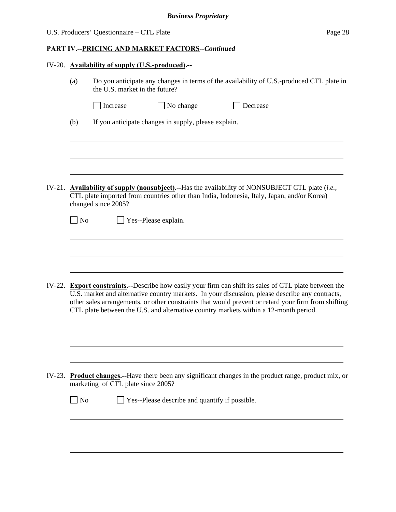|  | U.S. Producers' Questionnaire – CTL Plate | Page 28 |
|--|-------------------------------------------|---------|
|--|-------------------------------------------|---------|

|        |                             | IV-20. Availability of supply (U.S.-produced).--                                                                                                                                                                                                                                                                                                                                                         |
|--------|-----------------------------|----------------------------------------------------------------------------------------------------------------------------------------------------------------------------------------------------------------------------------------------------------------------------------------------------------------------------------------------------------------------------------------------------------|
|        | (a)                         | Do you anticipate any changes in terms of the availability of U.S.-produced CTL plate in<br>the U.S. market in the future?                                                                                                                                                                                                                                                                               |
|        |                             | No change<br>Increase<br>Decrease                                                                                                                                                                                                                                                                                                                                                                        |
|        | (b)                         | If you anticipate changes in supply, please explain.                                                                                                                                                                                                                                                                                                                                                     |
|        |                             |                                                                                                                                                                                                                                                                                                                                                                                                          |
|        |                             | IV-21. Availability of supply (nonsubject).--Has the availability of NONSUBJECT CTL plate $(i.e.,$<br>CTL plate imported from countries other than India, Indonesia, Italy, Japan, and/or Korea)<br>changed since 2005?                                                                                                                                                                                  |
|        | $\Box$ No                   | Yes--Please explain.                                                                                                                                                                                                                                                                                                                                                                                     |
|        |                             |                                                                                                                                                                                                                                                                                                                                                                                                          |
|        |                             |                                                                                                                                                                                                                                                                                                                                                                                                          |
|        |                             | IV-22. Export constraints.--Describe how easily your firm can shift its sales of CTL plate between the<br>U.S. market and alternative country markets. In your discussion, please describe any contracts,<br>other sales arrangements, or other constraints that would prevent or retard your firm from shifting<br>CTL plate between the U.S. and alternative country markets within a 12-month period. |
|        |                             |                                                                                                                                                                                                                                                                                                                                                                                                          |
| IV-23. |                             | <b>Product changes.</b> --Have there been any significant changes in the product range, product mix, or<br>marketing of CTL plate since 2005?                                                                                                                                                                                                                                                            |
|        | $\overline{\phantom{a}}$ No | Yes--Please describe and quantify if possible.                                                                                                                                                                                                                                                                                                                                                           |
|        |                             |                                                                                                                                                                                                                                                                                                                                                                                                          |
|        |                             |                                                                                                                                                                                                                                                                                                                                                                                                          |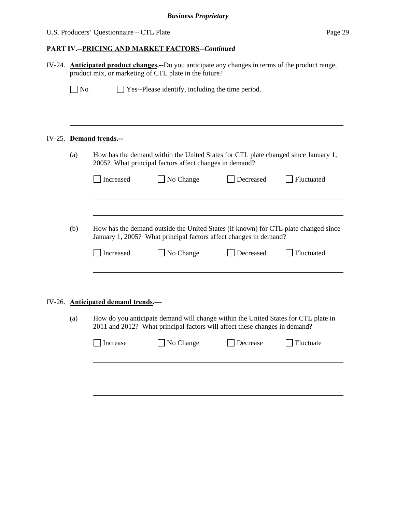| IV-24. <b>Anticipated product changes.</b> --Do you anticipate any changes in terms of the product range,<br>product mix, or marketing of CTL plate in the future? |                                                                                                                                                                  |           |           |            |  |  |  |  |  |
|--------------------------------------------------------------------------------------------------------------------------------------------------------------------|------------------------------------------------------------------------------------------------------------------------------------------------------------------|-----------|-----------|------------|--|--|--|--|--|
| $\Box$ No<br>Yes--Please identify, including the time period.                                                                                                      |                                                                                                                                                                  |           |           |            |  |  |  |  |  |
|                                                                                                                                                                    |                                                                                                                                                                  |           |           |            |  |  |  |  |  |
|                                                                                                                                                                    | IV-25. Demand trends.--                                                                                                                                          |           |           |            |  |  |  |  |  |
| How has the demand within the United States for CTL plate changed since January 1,<br>(a)<br>2005? What principal factors affect changes in demand?                |                                                                                                                                                                  |           |           |            |  |  |  |  |  |
|                                                                                                                                                                    | Increased                                                                                                                                                        | No Change | Decreased | Fluctuated |  |  |  |  |  |
|                                                                                                                                                                    |                                                                                                                                                                  |           |           |            |  |  |  |  |  |
| (b)<br>How has the demand outside the United States (if known) for CTL plate changed since<br>January 1, 2005? What principal factors affect changes in demand?    |                                                                                                                                                                  |           |           |            |  |  |  |  |  |
|                                                                                                                                                                    | Increased                                                                                                                                                        | No Change | Decreased |            |  |  |  |  |  |
|                                                                                                                                                                    |                                                                                                                                                                  |           |           |            |  |  |  |  |  |
|                                                                                                                                                                    | IV-26. Anticipated demand trends.                                                                                                                                |           |           |            |  |  |  |  |  |
| (a)                                                                                                                                                                | How do you anticipate demand will change within the United States for CTL plate in<br>2011 and 2012? What principal factors will affect these changes in demand? |           |           |            |  |  |  |  |  |
|                                                                                                                                                                    | Increase                                                                                                                                                         | No Change | Decrease  | Fluctuate  |  |  |  |  |  |
|                                                                                                                                                                    |                                                                                                                                                                  |           |           |            |  |  |  |  |  |
|                                                                                                                                                                    |                                                                                                                                                                  |           |           |            |  |  |  |  |  |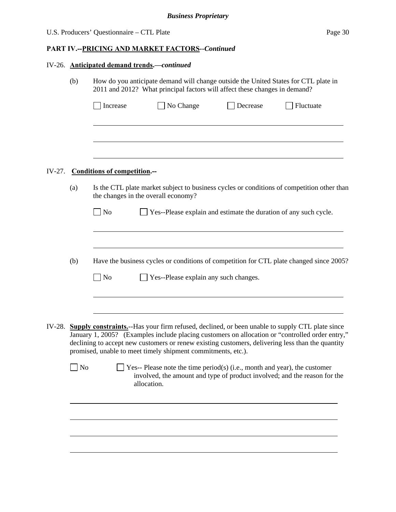|  |                                                                                                                                                                                                                                                                                                              | IV-26. Anticipated demand trends.-continued                                                                                                                       |                                                                                                                                                                       |          |           |  |  |  |  |  |  |  |
|--|--------------------------------------------------------------------------------------------------------------------------------------------------------------------------------------------------------------------------------------------------------------------------------------------------------------|-------------------------------------------------------------------------------------------------------------------------------------------------------------------|-----------------------------------------------------------------------------------------------------------------------------------------------------------------------|----------|-----------|--|--|--|--|--|--|--|
|  | (b)                                                                                                                                                                                                                                                                                                          | How do you anticipate demand will change outside the United States for CTL plate in<br>2011 and 2012? What principal factors will affect these changes in demand? |                                                                                                                                                                       |          |           |  |  |  |  |  |  |  |
|  |                                                                                                                                                                                                                                                                                                              | Increase                                                                                                                                                          | No Change                                                                                                                                                             | Decrease | Fluctuate |  |  |  |  |  |  |  |
|  |                                                                                                                                                                                                                                                                                                              |                                                                                                                                                                   |                                                                                                                                                                       |          |           |  |  |  |  |  |  |  |
|  |                                                                                                                                                                                                                                                                                                              |                                                                                                                                                                   |                                                                                                                                                                       |          |           |  |  |  |  |  |  |  |
|  |                                                                                                                                                                                                                                                                                                              | IV-27. Conditions of competition.--                                                                                                                               |                                                                                                                                                                       |          |           |  |  |  |  |  |  |  |
|  | (a)                                                                                                                                                                                                                                                                                                          | Is the CTL plate market subject to business cycles or conditions of competition other than<br>the changes in the overall economy?                                 |                                                                                                                                                                       |          |           |  |  |  |  |  |  |  |
|  |                                                                                                                                                                                                                                                                                                              | No<br>Yes--Please explain and estimate the duration of any such cycle.                                                                                            |                                                                                                                                                                       |          |           |  |  |  |  |  |  |  |
|  |                                                                                                                                                                                                                                                                                                              |                                                                                                                                                                   |                                                                                                                                                                       |          |           |  |  |  |  |  |  |  |
|  | (b)                                                                                                                                                                                                                                                                                                          |                                                                                                                                                                   | Have the business cycles or conditions of competition for CTL plate changed since 2005?                                                                               |          |           |  |  |  |  |  |  |  |
|  |                                                                                                                                                                                                                                                                                                              | $\overline{\phantom{a}}$ No                                                                                                                                       | Yes--Please explain any such changes.                                                                                                                                 |          |           |  |  |  |  |  |  |  |
|  |                                                                                                                                                                                                                                                                                                              |                                                                                                                                                                   |                                                                                                                                                                       |          |           |  |  |  |  |  |  |  |
|  | IV-28. Supply constraints.--Has your firm refused, declined, or been unable to supply CTL plate since<br>January 1, 2005? (Examples include placing customers on allocation or "controlled order entry,"<br>declining to accept new customers or renew existing customers, delivering less than the quantity |                                                                                                                                                                   |                                                                                                                                                                       |          |           |  |  |  |  |  |  |  |
|  | $\Box$ No                                                                                                                                                                                                                                                                                                    |                                                                                                                                                                   | Yes-- Please note the time period(s) (i.e., month and year), the customer<br>involved, the amount and type of product involved; and the reason for the<br>allocation. |          |           |  |  |  |  |  |  |  |
|  |                                                                                                                                                                                                                                                                                                              |                                                                                                                                                                   |                                                                                                                                                                       |          |           |  |  |  |  |  |  |  |
|  |                                                                                                                                                                                                                                                                                                              |                                                                                                                                                                   |                                                                                                                                                                       |          |           |  |  |  |  |  |  |  |
|  |                                                                                                                                                                                                                                                                                                              |                                                                                                                                                                   |                                                                                                                                                                       |          |           |  |  |  |  |  |  |  |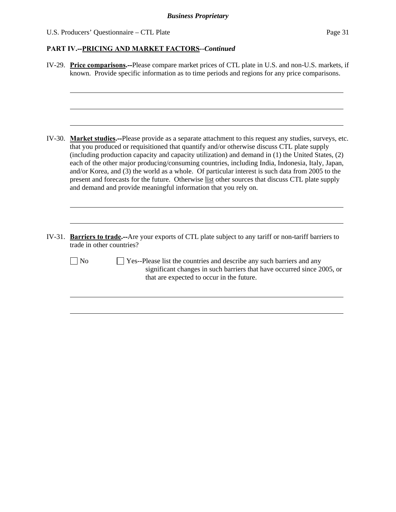| IV-29. Price comparisons.--Please compare market prices of CTL plate in U.S. and non-U.S. markets, if<br>known. Provide specific information as to time periods and regions for any price comparisons.                                                                                                                                                                                                                                                                                                                                                                                                                                                                                      |  |  |  |  |  |  |
|---------------------------------------------------------------------------------------------------------------------------------------------------------------------------------------------------------------------------------------------------------------------------------------------------------------------------------------------------------------------------------------------------------------------------------------------------------------------------------------------------------------------------------------------------------------------------------------------------------------------------------------------------------------------------------------------|--|--|--|--|--|--|
|                                                                                                                                                                                                                                                                                                                                                                                                                                                                                                                                                                                                                                                                                             |  |  |  |  |  |  |
| IV-30. Market studies.—Please provide as a separate attachment to this request any studies, surveys, etc.<br>that you produced or requisitioned that quantify and/or otherwise discuss CTL plate supply<br>(including production capacity and capacity utilization) and demand in (1) the United States, (2)<br>each of the other major producing/consuming countries, including India, Indonesia, Italy, Japan,<br>and/or Korea, and (3) the world as a whole. Of particular interest is such data from 2005 to the<br>present and forecasts for the future. Otherwise list other sources that discuss CTL plate supply<br>and demand and provide meaningful information that you rely on. |  |  |  |  |  |  |
| IV-31. Barriers to trade.--Are your exports of CTL plate subject to any tariff or non-tariff barriers to<br>trade in other countries?                                                                                                                                                                                                                                                                                                                                                                                                                                                                                                                                                       |  |  |  |  |  |  |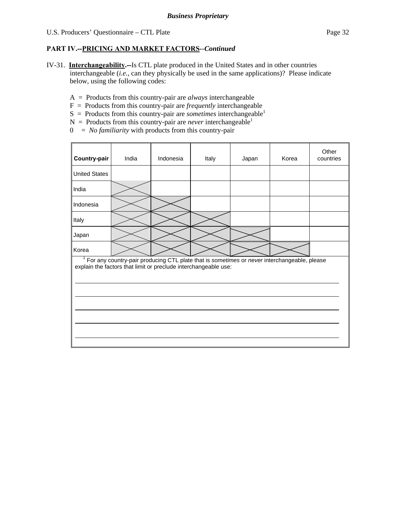- IV-31. **Interchangeability.--**Is CTL plate produced in the United States and in other countries interchangeable (*i.e.*, can they physically be used in the same applications)? Please indicate below, using the following codes:
	- A = Products from this country-pair are *always* interchangeable
	- F = Products from this country-pair are *frequently* interchangeable
	- $S =$  Products from this country-pair are *sometimes* interchangeable<sup>1</sup>
	- $N =$  Products from this country-pair are *never* interchangeable<sup>1</sup>
	- 0 = *No familiarity* with products from this country-pair

| Country-pair                                                                                                                                                   | India | Indonesia | Italy | Japan | Korea | Other<br>countries |  |  |  |
|----------------------------------------------------------------------------------------------------------------------------------------------------------------|-------|-----------|-------|-------|-------|--------------------|--|--|--|
| <b>United States</b>                                                                                                                                           |       |           |       |       |       |                    |  |  |  |
| India                                                                                                                                                          |       |           |       |       |       |                    |  |  |  |
| Indonesia                                                                                                                                                      |       |           |       |       |       |                    |  |  |  |
| Italy                                                                                                                                                          |       |           |       |       |       |                    |  |  |  |
| Japan                                                                                                                                                          |       |           |       |       |       |                    |  |  |  |
| Korea                                                                                                                                                          |       |           |       |       |       |                    |  |  |  |
| For any country-pair producing CTL plate that is sometimes or never interchangeable, please<br>explain the factors that limit or preclude interchangeable use: |       |           |       |       |       |                    |  |  |  |
|                                                                                                                                                                |       |           |       |       |       |                    |  |  |  |
|                                                                                                                                                                |       |           |       |       |       |                    |  |  |  |
|                                                                                                                                                                |       |           |       |       |       |                    |  |  |  |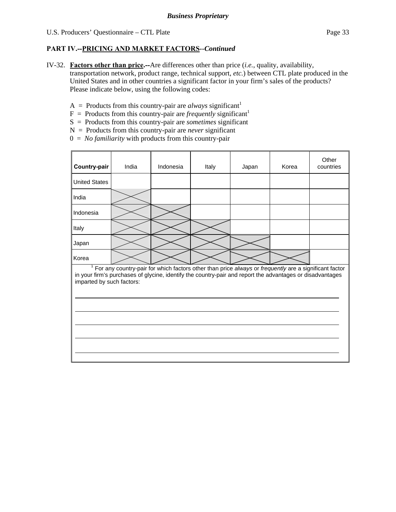IV-32. **Factors other than price.--**Are differences other than price (*i.e.*, quality, availability,

transportation network, product range, technical support, *etc.*) between CTL plate produced in the United States and in other countries a significant factor in your firm's sales of the products? Please indicate below, using the following codes:

- $A =$  Products from this country-pair are *always* significant<sup>1</sup>
- $F =$  Products from this country-pair are *frequently* significant<sup>1</sup>
- S = Products from this country-pair are *sometimes* significant
- N = Products from this country-pair are *never* significant
- 0 = *No familiarity* with products from this country-pair

| Country-pair                                                                                                                                                                                                                                        | India | Indonesia | Italy | Japan | Korea | Other<br>countries |  |  |
|-----------------------------------------------------------------------------------------------------------------------------------------------------------------------------------------------------------------------------------------------------|-------|-----------|-------|-------|-------|--------------------|--|--|
| <b>United States</b>                                                                                                                                                                                                                                |       |           |       |       |       |                    |  |  |
| India                                                                                                                                                                                                                                               |       |           |       |       |       |                    |  |  |
| Indonesia                                                                                                                                                                                                                                           |       |           |       |       |       |                    |  |  |
| Italy                                                                                                                                                                                                                                               |       |           |       |       |       |                    |  |  |
| Japan                                                                                                                                                                                                                                               |       |           |       |       |       |                    |  |  |
| Korea                                                                                                                                                                                                                                               |       |           |       |       |       |                    |  |  |
| $1$ For any country-pair for which factors other than price always or frequently are a significant factor<br>in your firm's purchases of glycine, identify the country-pair and report the advantages or disadvantages<br>imparted by such factors: |       |           |       |       |       |                    |  |  |
|                                                                                                                                                                                                                                                     |       |           |       |       |       |                    |  |  |
|                                                                                                                                                                                                                                                     |       |           |       |       |       |                    |  |  |
|                                                                                                                                                                                                                                                     |       |           |       |       |       |                    |  |  |
|                                                                                                                                                                                                                                                     |       |           |       |       |       |                    |  |  |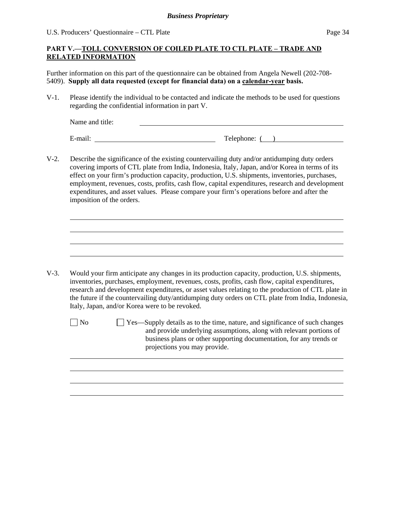U.S. Producers' Questionnaire – CTL Plate Page 34

## **PART V.—TOLL CONVERSION OF COILED PLATE TO CTL PLATE – TRADE AND RELATED INFORMATION**

Further information on this part of the questionnaire can be obtained from Angela Newell (202-708- 5409). **Supply all data requested (except for financial data) on a calendar-year basis.**

V-1. Please identify the individual to be contacted and indicate the methods to be used for questions regarding the confidential information in part V.

Name and title:

l

l

E-mail: Telephone: ( )

V-2. Describe the significance of the existing countervailing duty and/or antidumping duty orders covering imports of CTL plate from India, Indonesia, Italy, Japan, and/or Korea in terms of its effect on your firm's production capacity, production, U.S. shipments, inventories, purchases, employment, revenues, costs, profits, cash flow, capital expenditures, research and development expenditures, and asset values. Please compare your firm's operations before and after the imposition of the orders.

- V-3. Would your firm anticipate any changes in its production capacity, production, U.S. shipments, inventories, purchases, employment, revenues, costs, profits, cash flow, capital expenditures, research and development expenditures, or asset values relating to the production of CTL plate in the future if the countervailing duty/antidumping duty orders on CTL plate from India, Indonesia, Italy, Japan, and/or Korea were to be revoked.
	- $\Box$  No  $\Box$  Yes—Supply details as to the time, nature, and significance of such changes and provide underlying assumptions, along with relevant portions of business plans or other supporting documentation, for any trends or projections you may provide.